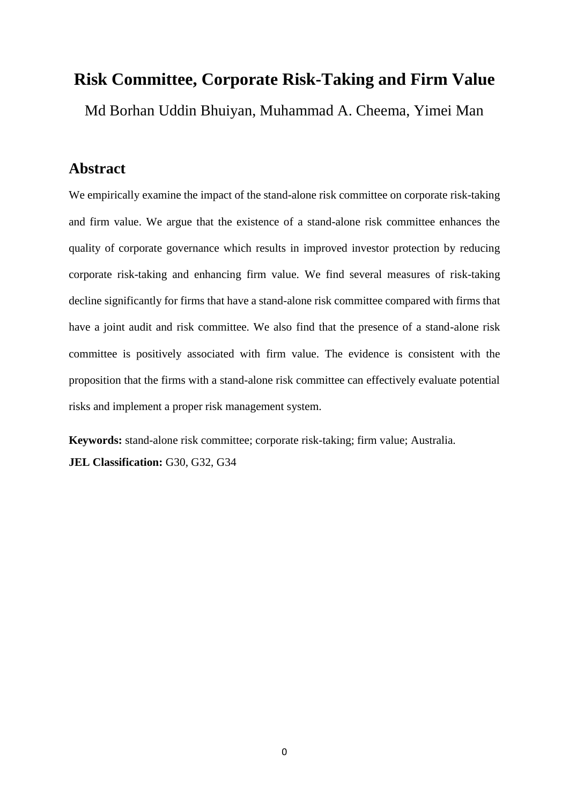# **Risk Committee, Corporate Risk-Taking and Firm Value** Md Borhan Uddin Bhuiyan, Muhammad A. Cheema, Yimei Man

# **Abstract**

We empirically examine the impact of the stand-alone risk committee on corporate risk-taking and firm value. We argue that the existence of a stand-alone risk committee enhances the quality of corporate governance which results in improved investor protection by reducing corporate risk-taking and enhancing firm value. We find several measures of risk-taking decline significantly for firms that have a stand-alone risk committee compared with firms that have a joint audit and risk committee. We also find that the presence of a stand-alone risk committee is positively associated with firm value. The evidence is consistent with the proposition that the firms with a stand-alone risk committee can effectively evaluate potential risks and implement a proper risk management system.

**Keywords:** stand-alone risk committee; corporate risk-taking; firm value; Australia. **JEL Classification:** G30, G32, G34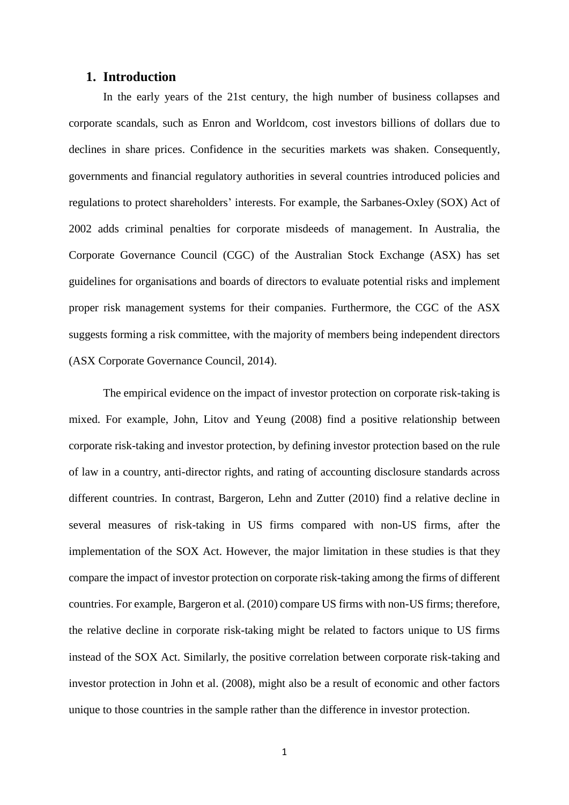## **1. Introduction**

In the early years of the 21st century, the high number of business collapses and corporate scandals, such as Enron and Worldcom, cost investors billions of dollars due to declines in share prices. Confidence in the securities markets was shaken. Consequently, governments and financial regulatory authorities in several countries introduced policies and regulations to protect shareholders' interests. For example, the Sarbanes-Oxley (SOX) Act of 2002 adds criminal penalties for corporate misdeeds of management. In Australia, the Corporate Governance Council (CGC) of the Australian Stock Exchange (ASX) has set guidelines for organisations and boards of directors to evaluate potential risks and implement proper risk management systems for their companies. Furthermore, the CGC of the ASX suggests forming a risk committee, with the majority of members being independent directors (ASX Corporate Governance Council, 2014).

The empirical evidence on the impact of investor protection on corporate risk-taking is mixed. For example, John, Litov and Yeung (2008) find a positive relationship between corporate risk-taking and investor protection, by defining investor protection based on the rule of law in a country, anti-director rights, and rating of accounting disclosure standards across different countries. In contrast, Bargeron, Lehn and Zutter (2010) find a relative decline in several measures of risk-taking in US firms compared with non-US firms, after the implementation of the SOX Act. However, the major limitation in these studies is that they compare the impact of investor protection on corporate risk-taking among the firms of different countries. For example, Bargeron et al. (2010) compare US firms with non-US firms; therefore, the relative decline in corporate risk-taking might be related to factors unique to US firms instead of the SOX Act. Similarly, the positive correlation between corporate risk-taking and investor protection in John et al. (2008), might also be a result of economic and other factors unique to those countries in the sample rather than the difference in investor protection.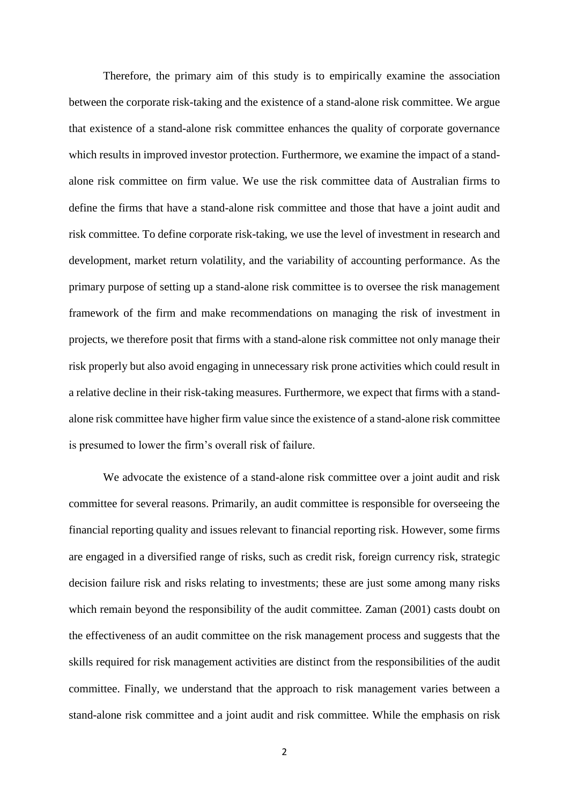Therefore, the primary aim of this study is to empirically examine the association between the corporate risk-taking and the existence of a stand-alone risk committee. We argue that existence of a stand-alone risk committee enhances the quality of corporate governance which results in improved investor protection. Furthermore, we examine the impact of a standalone risk committee on firm value. We use the risk committee data of Australian firms to define the firms that have a stand-alone risk committee and those that have a joint audit and risk committee. To define corporate risk-taking, we use the level of investment in research and development, market return volatility, and the variability of accounting performance. As the primary purpose of setting up a stand-alone risk committee is to oversee the risk management framework of the firm and make recommendations on managing the risk of investment in projects, we therefore posit that firms with a stand-alone risk committee not only manage their risk properly but also avoid engaging in unnecessary risk prone activities which could result in a relative decline in their risk-taking measures. Furthermore, we expect that firms with a standalone risk committee have higher firm value since the existence of a stand-alone risk committee is presumed to lower the firm's overall risk of failure.

We advocate the existence of a stand-alone risk committee over a joint audit and risk committee for several reasons. Primarily, an audit committee is responsible for overseeing the financial reporting quality and issues relevant to financial reporting risk. However, some firms are engaged in a diversified range of risks, such as credit risk, foreign currency risk, strategic decision failure risk and risks relating to investments; these are just some among many risks which remain beyond the responsibility of the audit committee. Zaman (2001) casts doubt on the effectiveness of an audit committee on the risk management process and suggests that the skills required for risk management activities are distinct from the responsibilities of the audit committee. Finally, we understand that the approach to risk management varies between a stand-alone risk committee and a joint audit and risk committee. While the emphasis on risk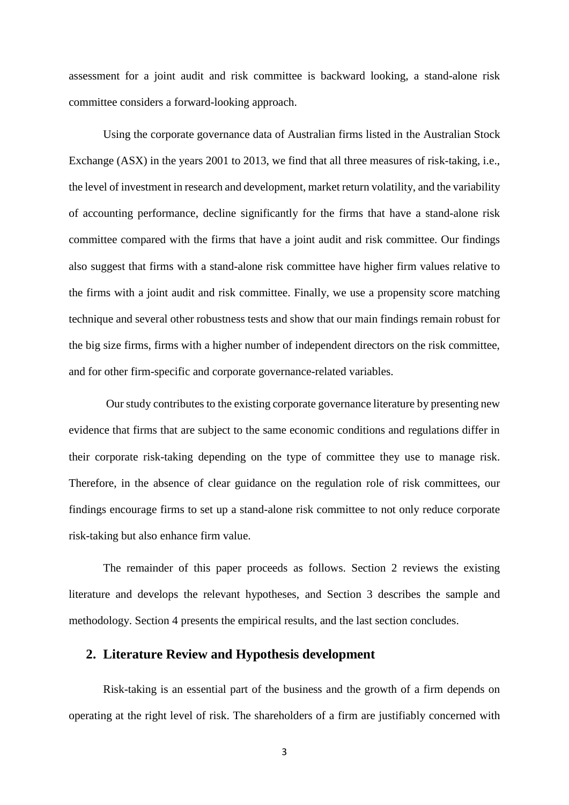assessment for a joint audit and risk committee is backward looking, a stand-alone risk committee considers a forward-looking approach.

Using the corporate governance data of Australian firms listed in the Australian Stock Exchange (ASX) in the years 2001 to 2013, we find that all three measures of risk-taking, i.e., the level of investment in research and development, market return volatility, and the variability of accounting performance, decline significantly for the firms that have a stand-alone risk committee compared with the firms that have a joint audit and risk committee. Our findings also suggest that firms with a stand-alone risk committee have higher firm values relative to the firms with a joint audit and risk committee. Finally, we use a propensity score matching technique and several other robustness tests and show that our main findings remain robust for the big size firms, firms with a higher number of independent directors on the risk committee, and for other firm-specific and corporate governance-related variables.

Our study contributes to the existing corporate governance literature by presenting new evidence that firms that are subject to the same economic conditions and regulations differ in their corporate risk-taking depending on the type of committee they use to manage risk. Therefore, in the absence of clear guidance on the regulation role of risk committees, our findings encourage firms to set up a stand-alone risk committee to not only reduce corporate risk-taking but also enhance firm value.

The remainder of this paper proceeds as follows. Section 2 reviews the existing literature and develops the relevant hypotheses, and Section 3 describes the sample and methodology. Section 4 presents the empirical results, and the last section concludes.

## **2. Literature Review and Hypothesis development**

Risk-taking is an essential part of the business and the growth of a firm depends on operating at the right level of risk. The shareholders of a firm are justifiably concerned with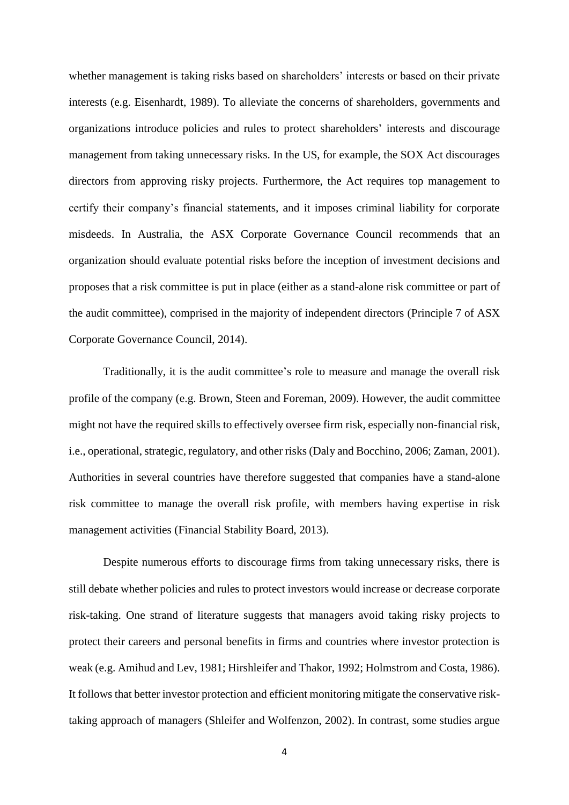whether management is taking risks based on shareholders' interests or based on their private interests (e.g. Eisenhardt, 1989). To alleviate the concerns of shareholders, governments and organizations introduce policies and rules to protect shareholders' interests and discourage management from taking unnecessary risks. In the US, for example, the SOX Act discourages directors from approving risky projects. Furthermore, the Act requires top management to certify their company's financial statements, and it imposes criminal liability for corporate misdeeds. In Australia, the ASX Corporate Governance Council recommends that an organization should evaluate potential risks before the inception of investment decisions and proposes that a risk committee is put in place (either as a stand-alone risk committee or part of the audit committee), comprised in the majority of independent directors (Principle 7 of ASX Corporate Governance Council, 2014).

Traditionally, it is the audit committee's role to measure and manage the overall risk profile of the company (e.g. Brown, Steen and Foreman, 2009). However, the audit committee might not have the required skills to effectively oversee firm risk, especially non-financial risk, i.e., operational, strategic, regulatory, and other risks(Daly and Bocchino, 2006; Zaman, 2001). Authorities in several countries have therefore suggested that companies have a stand-alone risk committee to manage the overall risk profile, with members having expertise in risk management activities (Financial Stability Board, 2013).

Despite numerous efforts to discourage firms from taking unnecessary risks, there is still debate whether policies and rules to protect investors would increase or decrease corporate risk-taking. One strand of literature suggests that managers avoid taking risky projects to protect their careers and personal benefits in firms and countries where investor protection is weak (e.g. Amihud and Lev, 1981; Hirshleifer and Thakor, 1992; Holmstrom and Costa, 1986). It follows that better investor protection and efficient monitoring mitigate the conservative risktaking approach of managers (Shleifer and Wolfenzon, 2002). In contrast, some studies argue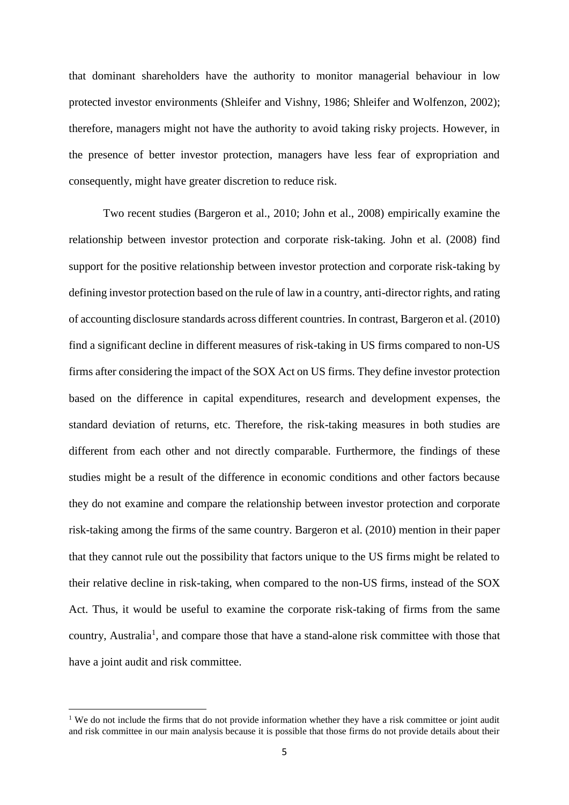that dominant shareholders have the authority to monitor managerial behaviour in low protected investor environments (Shleifer and Vishny, 1986; Shleifer and Wolfenzon, 2002); therefore, managers might not have the authority to avoid taking risky projects. However, in the presence of better investor protection, managers have less fear of expropriation and consequently, might have greater discretion to reduce risk.

Two recent studies (Bargeron et al., 2010; John et al., 2008) empirically examine the relationship between investor protection and corporate risk-taking. John et al. (2008) find support for the positive relationship between investor protection and corporate risk-taking by defining investor protection based on the rule of law in a country, anti-director rights, and rating of accounting disclosure standards across different countries. In contrast, Bargeron et al. (2010) find a significant decline in different measures of risk-taking in US firms compared to non-US firms after considering the impact of the SOX Act on US firms. They define investor protection based on the difference in capital expenditures, research and development expenses, the standard deviation of returns, etc. Therefore, the risk-taking measures in both studies are different from each other and not directly comparable. Furthermore, the findings of these studies might be a result of the difference in economic conditions and other factors because they do not examine and compare the relationship between investor protection and corporate risk-taking among the firms of the same country. Bargeron et al. (2010) mention in their paper that they cannot rule out the possibility that factors unique to the US firms might be related to their relative decline in risk-taking, when compared to the non-US firms, instead of the SOX Act. Thus, it would be useful to examine the corporate risk-taking of firms from the same country, Australia<sup>1</sup>, and compare those that have a stand-alone risk committee with those that have a joint audit and risk committee.

1

<sup>&</sup>lt;sup>1</sup> We do not include the firms that do not provide information whether they have a risk committee or joint audit and risk committee in our main analysis because it is possible that those firms do not provide details about their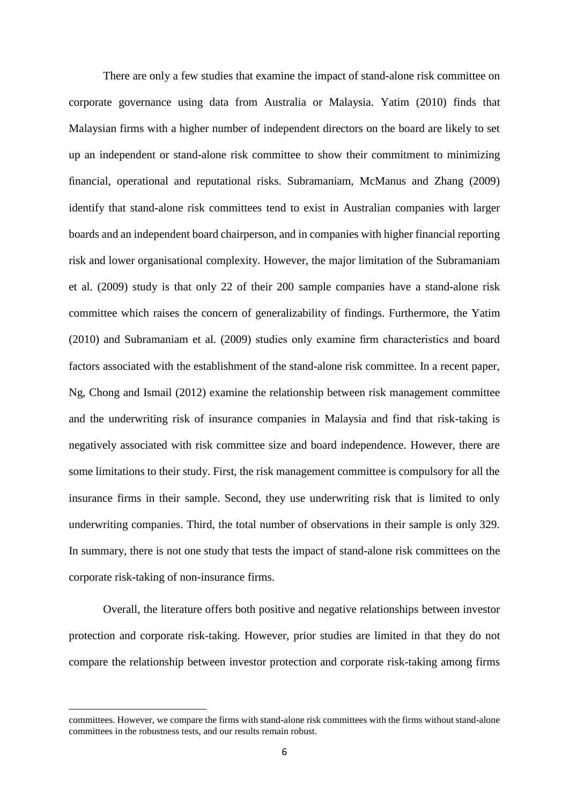There are only a few studies that examine the impact of stand-alone risk committee on corporate governance using data from Australia or Malaysia. Yatim (2010) finds that Malaysian firms with a higher number of independent directors on the board are likely to set up an independent or stand-alone risk committee to show their commitment to minimizing financial, operational and reputational risks. Subramaniam, McManus and Zhang (2009) identify that stand-alone risk committees tend to exist in Australian companies with larger boards and an independent board chairperson, and in companies with higher financial reporting risk and lower organisational complexity. However, the major limitation of the Subramaniam et al. (2009) study is that only 22 of their 200 sample companies have a stand-alone risk committee which raises the concern of generalizability of findings. Furthermore, the Yatim (2010) and Subramaniam et al. (2009) studies only examine firm characteristics and board factors associated with the establishment of the stand-alone risk committee. In a recent paper, Ng, Chong and Ismail (2012) examine the relationship between risk management committee and the underwriting risk of insurance companies in Malaysia and find that risk-taking is negatively associated with risk committee size and board independence. However, there are some limitations to their study. First, the risk management committee is compulsory for all the insurance firms in their sample. Second, they use underwriting risk that is limited to only underwriting companies. Third, the total number of observations in their sample is only 329. In summary, there is not one study that tests the impact of stand-alone risk committees on the corporate risk-taking of non-insurance firms.

Overall, the literature offers both positive and negative relationships between investor protection and corporate risk-taking. However, prior studies are limited in that they do not compare the relationship between investor protection and corporate risk-taking among firms

1

committees. However, we compare the firms with stand-alone risk committees with the firms without stand-alone committees in the robustness tests, and our results remain robust.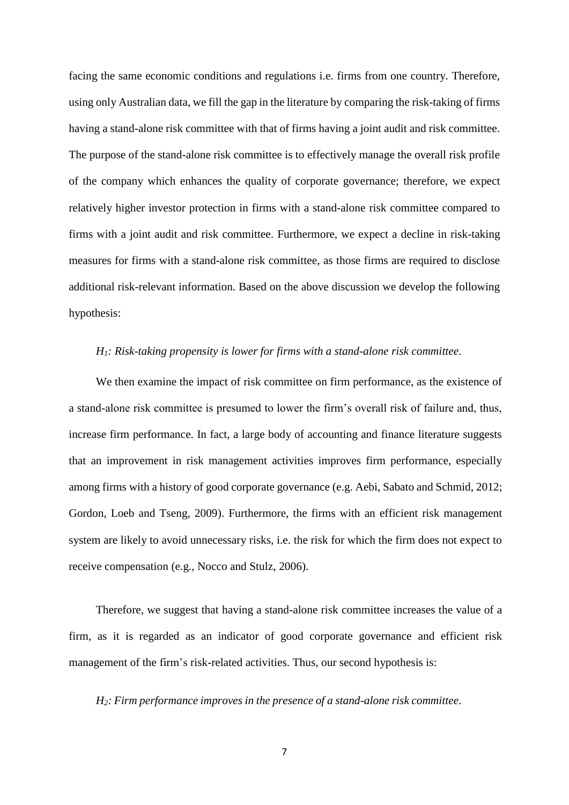facing the same economic conditions and regulations i.e. firms from one country. Therefore, using only Australian data, we fill the gap in the literature by comparing the risk-taking of firms having a stand-alone risk committee with that of firms having a joint audit and risk committee. The purpose of the stand-alone risk committee is to effectively manage the overall risk profile of the company which enhances the quality of corporate governance; therefore, we expect relatively higher investor protection in firms with a stand-alone risk committee compared to firms with a joint audit and risk committee. Furthermore, we expect a decline in risk-taking measures for firms with a stand-alone risk committee, as those firms are required to disclose additional risk-relevant information. Based on the above discussion we develop the following hypothesis:

## *H1: Risk-taking propensity is lower for firms with a stand-alone risk committee*.

We then examine the impact of risk committee on firm performance, as the existence of a stand-alone risk committee is presumed to lower the firm's overall risk of failure and, thus, increase firm performance. In fact, a large body of accounting and finance literature suggests that an improvement in risk management activities improves firm performance, especially among firms with a history of good corporate governance (e.g. Aebi, Sabato and Schmid, 2012; Gordon, Loeb and Tseng, 2009). Furthermore, the firms with an efficient risk management system are likely to avoid unnecessary risks, i.e. the risk for which the firm does not expect to receive compensation (e.g., Nocco and Stulz, 2006).

Therefore, we suggest that having a stand-alone risk committee increases the value of a firm, as it is regarded as an indicator of good corporate governance and efficient risk management of the firm's risk-related activities. Thus, our second hypothesis is:

*H2: Firm performance improves in the presence of a stand-alone risk committee*.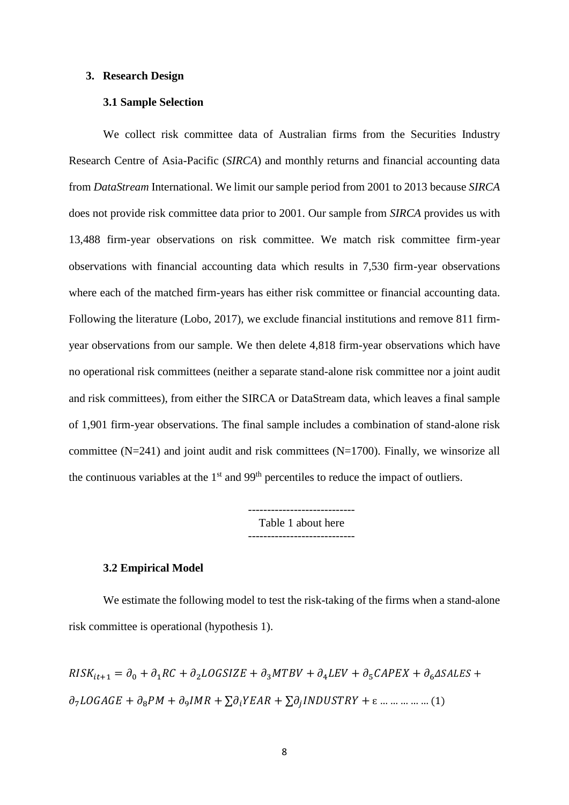## **3. Research Design**

## **3.1 Sample Selection**

We collect risk committee data of Australian firms from the Securities Industry Research Centre of Asia-Pacific (*SIRCA*) and monthly returns and financial accounting data from *DataStream* International. We limit our sample period from 2001 to 2013 because *SIRCA* does not provide risk committee data prior to 2001. Our sample from *SIRCA* provides us with 13,488 firm-year observations on risk committee. We match risk committee firm-year observations with financial accounting data which results in 7,530 firm-year observations where each of the matched firm-years has either risk committee or financial accounting data. Following the literature (Lobo, 2017), we exclude financial institutions and remove 811 firmyear observations from our sample. We then delete 4,818 firm-year observations which have no operational risk committees (neither a separate stand-alone risk committee nor a joint audit and risk committees), from either the SIRCA or DataStream data, which leaves a final sample of 1,901 firm-year observations. The final sample includes a combination of stand-alone risk committee (N=241) and joint audit and risk committees (N=1700). Finally, we winsorize all the continuous variables at the  $1<sup>st</sup>$  and  $99<sup>th</sup>$  percentiles to reduce the impact of outliers.

> ---------------------------- Table 1 about here

> > ----------------------------

#### **3.2 Empirical Model**

We estimate the following model to test the risk-taking of the firms when a stand-alone risk committee is operational (hypothesis 1).

$$
RISK_{it+1} = \partial_0 + \partial_1 RC + \partial_2 LOGSIZE + \partial_3 MTBV + \partial_4 LEV + \partial_5 CAPEX + \partial_6 ASALES +
$$
  

$$
\partial_7 LOGAGE + \partial_8 PM + \partial_9 IMR + \sum \partial_i YEAR + \sum \partial_j INDUSTRY + \varepsilon \dots \dots \dots \dots \dots \dots (1)
$$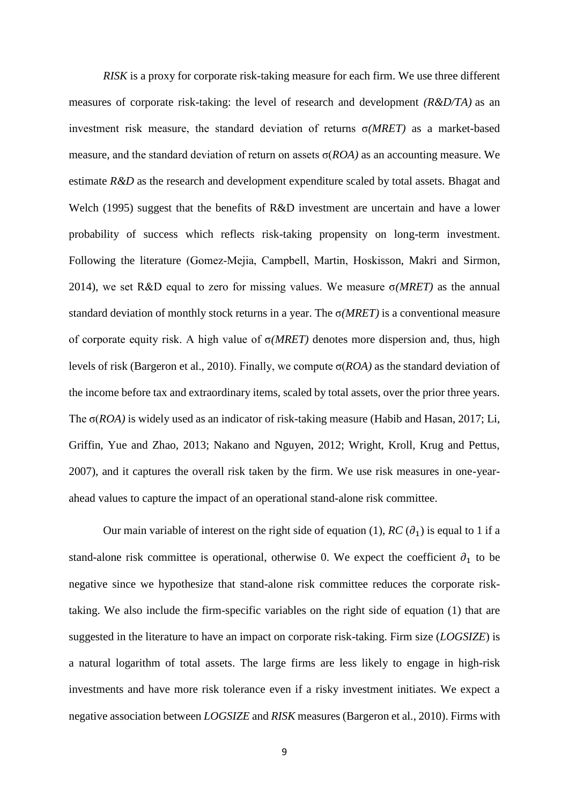*RISK* is a proxy for corporate risk-taking measure for each firm. We use three different measures of corporate risk-taking: the level of research and development *(R&D/TA)* as an investment risk measure, the standard deviation of returns σ*(MRET)* as a market-based measure, and the standard deviation of return on assets σ(*ROA)* as an accounting measure. We estimate *R&D* as the research and development expenditure scaled by total assets. Bhagat and Welch (1995) suggest that the benefits of R&D investment are uncertain and have a lower probability of success which reflects risk-taking propensity on long-term investment. Following the literature (Gomez‐Mejia, Campbell, Martin, Hoskisson, Makri and Sirmon, 2014), we set R&D equal to zero for missing values. We measure σ*(MRET)* as the annual standard deviation of monthly stock returns in a year. The σ*(MRET)* is a conventional measure of corporate equity risk. A high value of σ*(MRET)* denotes more dispersion and, thus, high levels of risk (Bargeron et al., 2010). Finally, we compute σ(*ROA)* as the standard deviation of the income before tax and extraordinary items, scaled by total assets, over the prior three years. The σ(*ROA)* is widely used as an indicator of risk-taking measure (Habib and Hasan, 2017; Li, Griffin, Yue and Zhao, 2013; Nakano and Nguyen, 2012; Wright, Kroll, Krug and Pettus, 2007), and it captures the overall risk taken by the firm. We use risk measures in one-yearahead values to capture the impact of an operational stand-alone risk committee.

Our main variable of interest on the right side of equation (1),  $RC(\partial_1)$  is equal to 1 if a stand-alone risk committee is operational, otherwise 0. We expect the coefficient  $\partial_1$  to be negative since we hypothesize that stand-alone risk committee reduces the corporate risktaking. We also include the firm-specific variables on the right side of equation (1) that are suggested in the literature to have an impact on corporate risk-taking. Firm size (*LOGSIZE*) is a natural logarithm of total assets. The large firms are less likely to engage in high-risk investments and have more risk tolerance even if a risky investment initiates. We expect a negative association between *LOGSIZE* and *RISK* measures (Bargeron et al., 2010). Firms with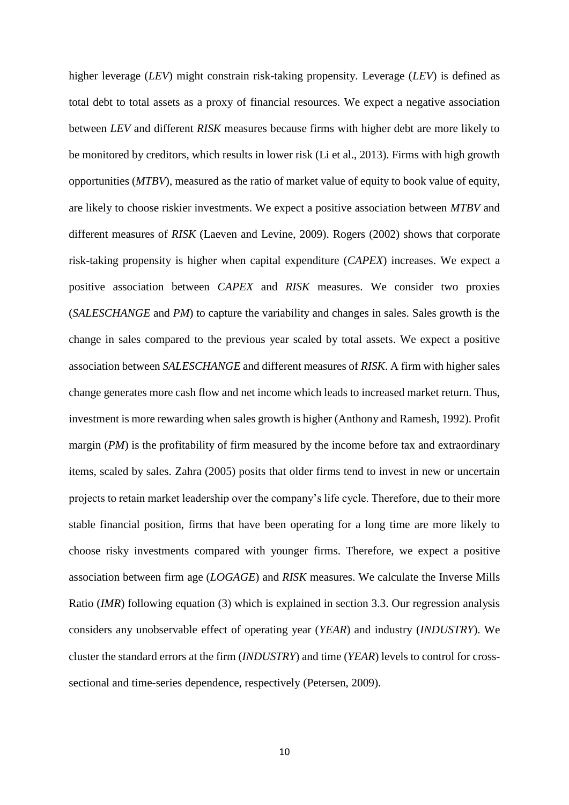higher leverage (*LEV*) might constrain risk-taking propensity. Leverage (*LEV*) is defined as total debt to total assets as a proxy of financial resources. We expect a negative association between *LEV* and different *RISK* measures because firms with higher debt are more likely to be monitored by creditors, which results in lower risk (Li et al., 2013). Firms with high growth opportunities (*MTBV*), measured as the ratio of market value of equity to book value of equity, are likely to choose riskier investments. We expect a positive association between *MTBV* and different measures of *RISK* (Laeven and Levine, 2009). Rogers (2002) shows that corporate risk-taking propensity is higher when capital expenditure (*CAPEX*) increases. We expect a positive association between *CAPEX* and *RISK* measures. We consider two proxies (*SALESCHANGE* and *PM*) to capture the variability and changes in sales. Sales growth is the change in sales compared to the previous year scaled by total assets. We expect a positive association between *SALESCHANGE* and different measures of *RISK*. A firm with higher sales change generates more cash flow and net income which leads to increased market return. Thus, investment is more rewarding when sales growth is higher (Anthony and Ramesh, 1992). Profit margin (*PM*) is the profitability of firm measured by the income before tax and extraordinary items, scaled by sales. Zahra (2005) posits that older firms tend to invest in new or uncertain projects to retain market leadership over the company's life cycle. Therefore, due to their more stable financial position, firms that have been operating for a long time are more likely to choose risky investments compared with younger firms. Therefore, we expect a positive association between firm age (*LOGAGE*) and *RISK* measures. We calculate the Inverse Mills Ratio (*IMR*) following equation (3) which is explained in section 3.3. Our regression analysis considers any unobservable effect of operating year (*YEAR*) and industry (*INDUSTRY*). We cluster the standard errors at the firm (*INDUSTRY*) and time (*YEAR*) levels to control for crosssectional and time-series dependence, respectively (Petersen, 2009).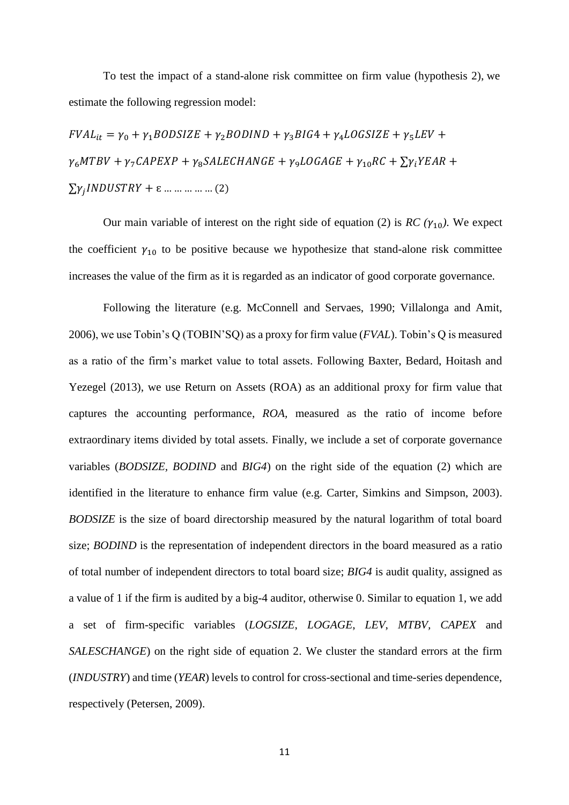To test the impact of a stand-alone risk committee on firm value (hypothesis 2), we estimate the following regression model:

 $FVAL_{it} = \gamma_0 + \gamma_1 BODSIZE + \gamma_2 BODIND + \gamma_3 BIG4 + \gamma_4 LOGSIZE + \gamma_5 LEV +$  $\gamma_6 M T B V + \gamma_7 CA P E X P + \gamma_8 SA L E CH A N G E + \gamma_9 LO G A G E + \gamma_{10} R C + \sum \gamma_i Y E A R +$  $\sum y_j INDUSTRY + \varepsilon ... ... ... ... ... (2)$ 

Our main variable of interest on the right side of equation (2) is  $RC(\gamma_{10})$ . We expect the coefficient  $\gamma_{10}$  to be positive because we hypothesize that stand-alone risk committee increases the value of the firm as it is regarded as an indicator of good corporate governance.

Following the literature (e.g. McConnell and Servaes, 1990; Villalonga and Amit, 2006), we use Tobin's Q (TOBIN'SQ) as a proxy for firm value (*FVAL*). Tobin's Q is measured as a ratio of the firm's market value to total assets. Following Baxter, Bedard, Hoitash and Yezegel (2013), we use Return on Assets (ROA) as an additional proxy for firm value that captures the accounting performance, *ROA,* measured as the ratio of income before extraordinary items divided by total assets. Finally, we include a set of corporate governance variables (*BODSIZE, BODIND* and *BIG4*) on the right side of the equation (2) which are identified in the literature to enhance firm value (e.g. Carter, Simkins and Simpson, 2003). *BODSIZE* is the size of board directorship measured by the natural logarithm of total board size; *BODIND* is the representation of independent directors in the board measured as a ratio of total number of independent directors to total board size; *BIG4* is audit quality, assigned as a value of 1 if the firm is audited by a big-4 auditor, otherwise 0. Similar to equation 1, we add a set of firm-specific variables (*LOGSIZE*, *LOGAGE*, *LEV*, *MTBV, CAPEX* and *SALESCHANGE*) on the right side of equation 2. We cluster the standard errors at the firm (*INDUSTRY*) and time (*YEAR*) levels to control for cross-sectional and time-series dependence, respectively (Petersen, 2009).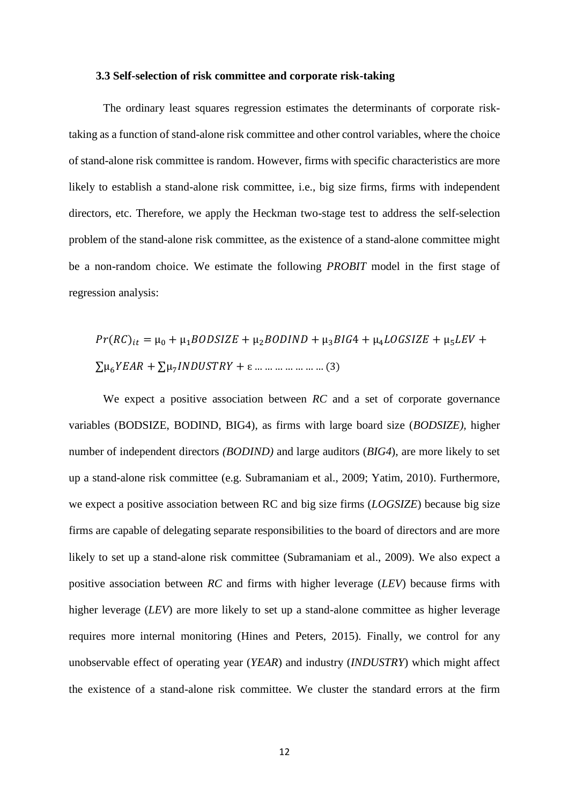#### **3.3 Self-selection of risk committee and corporate risk-taking**

The ordinary least squares regression estimates the determinants of corporate risktaking as a function of stand-alone risk committee and other control variables, where the choice of stand-alone risk committee is random. However, firms with specific characteristics are more likely to establish a stand-alone risk committee, i.e., big size firms, firms with independent directors, etc. Therefore, we apply the Heckman two-stage test to address the self-selection problem of the stand-alone risk committee, as the existence of a stand-alone committee might be a non-random choice. We estimate the following *PROBIT* model in the first stage of regression analysis:

() = µ<sup>0</sup> + µ1 + µ2 + µ34 + µ4 + µ5 + ∑µ6 + ∑µ7 + ɛ … … … … … … … (3)

We expect a positive association between *RC* and a set of corporate governance variables (BODSIZE, BODIND, BIG4), as firms with large board size (*BODSIZE),* higher number of independent directors *(BODIND)* and large auditors (*BIG4*), are more likely to set up a stand-alone risk committee (e.g. Subramaniam et al., 2009; Yatim, 2010). Furthermore, we expect a positive association between RC and big size firms (*LOGSIZE*) because big size firms are capable of delegating separate responsibilities to the board of directors and are more likely to set up a stand-alone risk committee (Subramaniam et al., 2009). We also expect a positive association between *RC* and firms with higher leverage (*LEV*) because firms with higher leverage (*LEV*) are more likely to set up a stand-alone committee as higher leverage requires more internal monitoring (Hines and Peters, 2015). Finally, we control for any unobservable effect of operating year (*YEAR*) and industry (*INDUSTRY*) which might affect the existence of a stand-alone risk committee. We cluster the standard errors at the firm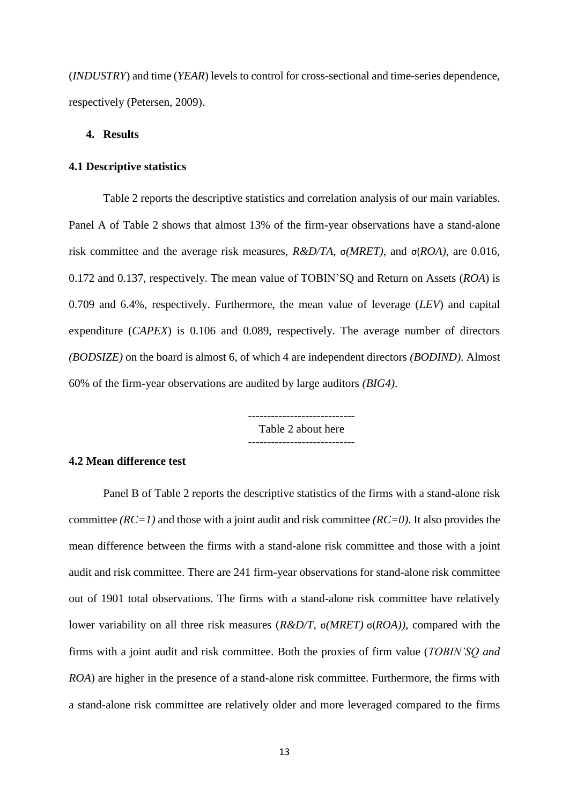(*INDUSTRY*) and time (*YEAR*) levels to control for cross-sectional and time-series dependence, respectively (Petersen, 2009).

## **4. Results**

## **4.1 Descriptive statistics**

Table 2 reports the descriptive statistics and correlation analysis of our main variables. Panel A of Table 2 shows that almost 13% of the firm-year observations have a stand-alone risk committee and the average risk measures, *R&D/TA*, σ*(MRET),* and σ(*ROA)*, are 0.016, 0.172 and 0.137, respectively. The mean value of TOBIN'SQ and Return on Assets (*ROA*) is 0.709 and 6.4%, respectively. Furthermore, the mean value of leverage (*LEV*) and capital expenditure (*CAPEX*) is 0.106 and 0.089, respectively. The average number of directors *(BODSIZE)* on the board is almost 6, of which 4 are independent directors *(BODIND)*. Almost 60% of the firm-year observations are audited by large auditors *(BIG4)*.

> Table 2 about here ----------------------------

## **4.2 Mean difference test**

Panel B of Table 2 reports the descriptive statistics of the firms with a stand-alone risk committee *(RC=1)* and those with a joint audit and risk committee *(RC=0)*. It also provides the mean difference between the firms with a stand-alone risk committee and those with a joint audit and risk committee. There are 241 firm-year observations for stand-alone risk committee out of 1901 total observations. The firms with a stand-alone risk committee have relatively lower variability on all three risk measures (*R&D/T,* σ*(MRET)* σ(*ROA))*, compared with the firms with a joint audit and risk committee. Both the proxies of firm value (*TOBIN'SQ and ROA*) are higher in the presence of a stand-alone risk committee. Furthermore, the firms with a stand-alone risk committee are relatively older and more leveraged compared to the firms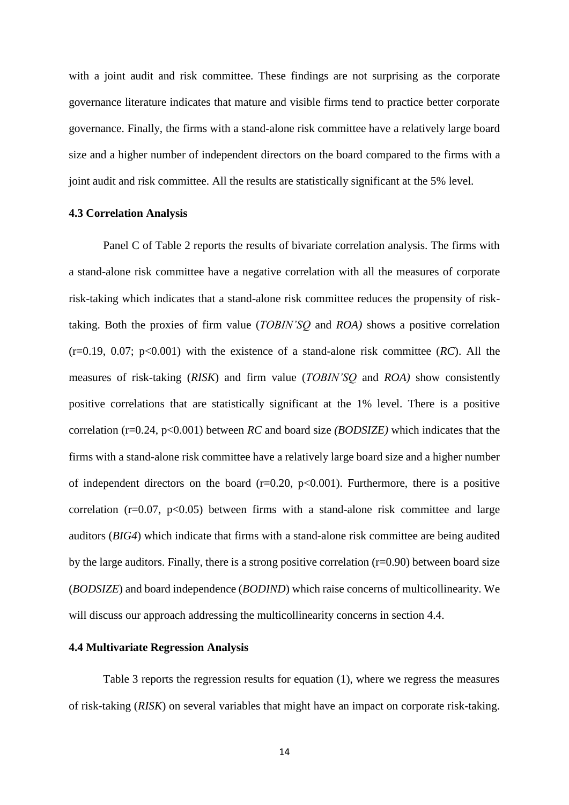with a joint audit and risk committee. These findings are not surprising as the corporate governance literature indicates that mature and visible firms tend to practice better corporate governance. Finally, the firms with a stand-alone risk committee have a relatively large board size and a higher number of independent directors on the board compared to the firms with a joint audit and risk committee. All the results are statistically significant at the 5% level.

#### **4.3 Correlation Analysis**

Panel C of Table 2 reports the results of bivariate correlation analysis. The firms with a stand-alone risk committee have a negative correlation with all the measures of corporate risk-taking which indicates that a stand-alone risk committee reduces the propensity of risktaking. Both the proxies of firm value (*TOBIN'SQ* and *ROA)* shows a positive correlation (r=0.19, 0.07; p<0.001) with the existence of a stand-alone risk committee (*RC*). All the measures of risk-taking (*RISK*) and firm value (*TOBIN'SQ* and *ROA)* show consistently positive correlations that are statistically significant at the 1% level. There is a positive correlation (r=0.24, p<0.001) between *RC* and board size *(BODSIZE)* which indicates that the firms with a stand-alone risk committee have a relatively large board size and a higher number of independent directors on the board  $(r=0.20, p<0.001)$ . Furthermore, there is a positive correlation ( $r=0.07$ ,  $p<0.05$ ) between firms with a stand-alone risk committee and large auditors (*BIG4*) which indicate that firms with a stand-alone risk committee are being audited by the large auditors. Finally, there is a strong positive correlation (r=0.90) between board size (*BODSIZE*) and board independence (*BODIND*) which raise concerns of multicollinearity. We will discuss our approach addressing the multicollinearity concerns in section 4.4.

#### **4.4 Multivariate Regression Analysis**

Table 3 reports the regression results for equation (1), where we regress the measures of risk-taking (*RISK*) on several variables that might have an impact on corporate risk-taking.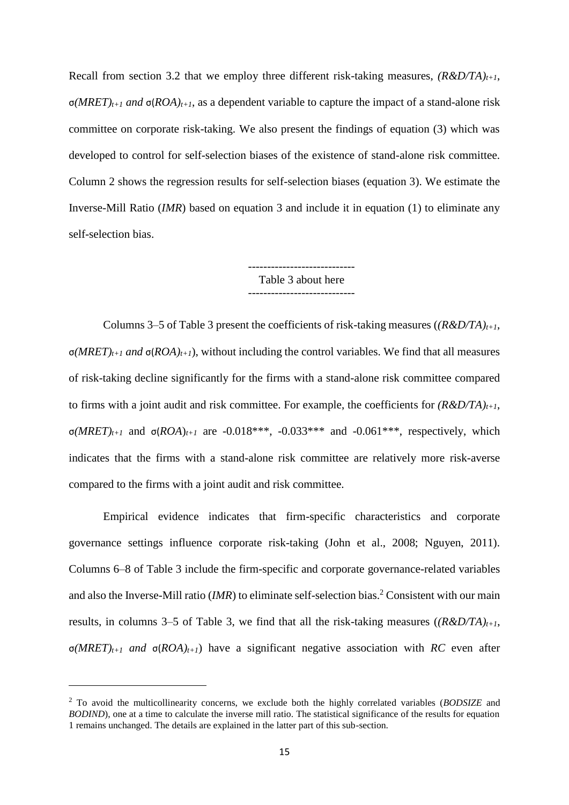Recall from section 3.2 that we employ three different risk-taking measures, *(R&D/TA)t+1*, σ*(MRET)t+1 and* σ(*ROA)t+1*, as a dependent variable to capture the impact of a stand-alone risk committee on corporate risk-taking. We also present the findings of equation (3) which was developed to control for self-selection biases of the existence of stand-alone risk committee. Column 2 shows the regression results for self-selection biases (equation 3). We estimate the Inverse-Mill Ratio (*IMR*) based on equation 3 and include it in equation (1) to eliminate any self-selection bias.

> ---------------------------- Table 3 about here

Columns 3–5 of Table 3 present the coefficients of risk-taking measures (*(R&D/TA)t+1*, σ*(MRET)t+1 and* σ(*ROA)t+1*), without including the control variables. We find that all measures of risk-taking decline significantly for the firms with a stand-alone risk committee compared to firms with a joint audit and risk committee. For example, the coefficients for  $(R&D/TA)$ <sub>*t+1*</sub>, σ*(MRET)t+1* and σ(*ROA*)*t+1* are -0.018\*\*\*, -0.033\*\*\* and -0.061\*\*\*, respectively, which indicates that the firms with a stand-alone risk committee are relatively more risk-averse compared to the firms with a joint audit and risk committee.

Empirical evidence indicates that firm-specific characteristics and corporate governance settings influence corporate risk-taking (John et al., 2008; Nguyen, 2011). Columns 6–8 of Table 3 include the firm-specific and corporate governance-related variables and also the Inverse-Mill ratio (*IMR*) to eliminate self-selection bias.<sup>2</sup> Consistent with our main results, in columns 3–5 of Table 3, we find that all the risk-taking measures  $((R&D/TA)<sub>t+1</sub>$ , σ*(MRET)t+1 and* σ(*ROA)t+1*) have a significant negative association with *RC* even after

**.** 

<sup>2</sup> To avoid the multicollinearity concerns, we exclude both the highly correlated variables (*BODSIZE* and *BODIND*), one at a time to calculate the inverse mill ratio. The statistical significance of the results for equation 1 remains unchanged. The details are explained in the latter part of this sub-section.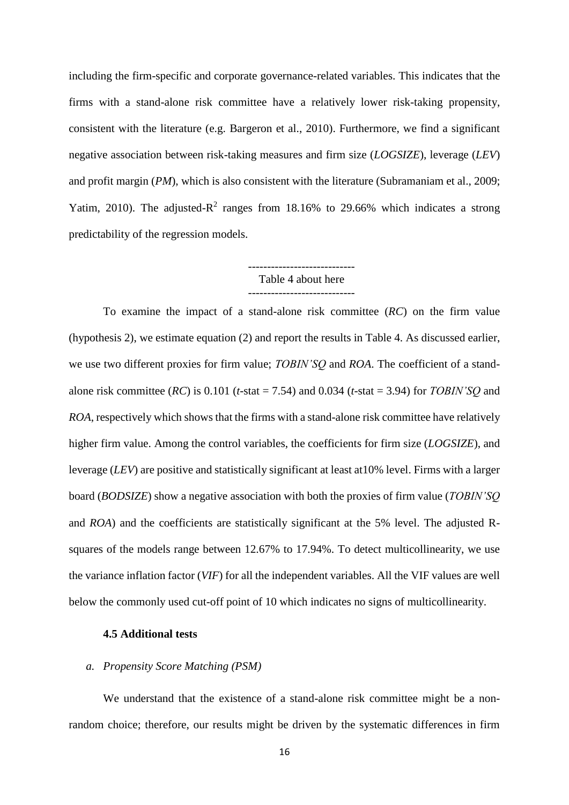including the firm-specific and corporate governance-related variables. This indicates that the firms with a stand-alone risk committee have a relatively lower risk-taking propensity, consistent with the literature (e.g. Bargeron et al., 2010). Furthermore, we find a significant negative association between risk-taking measures and firm size (*LOGSIZE*), leverage (*LEV*) and profit margin (*PM*), which is also consistent with the literature (Subramaniam et al., 2009; Yatim, 2010). The adjusted- $R^2$  ranges from 18.16% to 29.66% which indicates a strong predictability of the regression models.

## ---------------------------- Table 4 about here ----------------------------

To examine the impact of a stand-alone risk committee (*RC*) on the firm value (hypothesis 2), we estimate equation (2) and report the results in Table 4. As discussed earlier, we use two different proxies for firm value; *TOBIN'SQ* and *ROA*. The coefficient of a standalone risk committee (*RC*) is 0.101 (*t*-stat = 7.54) and 0.034 (*t*-stat = 3.94) for *TOBIN'SQ* and *ROA*, respectively which shows that the firms with a stand-alone risk committee have relatively higher firm value. Among the control variables, the coefficients for firm size (*LOGSIZE*), and leverage (*LEV*) are positive and statistically significant at least at10% level. Firms with a larger board (*BODSIZE*) show a negative association with both the proxies of firm value (*TOBIN'SQ*  and *ROA*) and the coefficients are statistically significant at the 5% level. The adjusted Rsquares of the models range between 12.67% to 17.94%. To detect multicollinearity, we use the variance inflation factor (*VIF*) for all the independent variables. All the VIF values are well below the commonly used cut-off point of 10 which indicates no signs of multicollinearity.

## **4.5 Additional tests**

## *a. Propensity Score Matching (PSM)*

We understand that the existence of a stand-alone risk committee might be a nonrandom choice; therefore, our results might be driven by the systematic differences in firm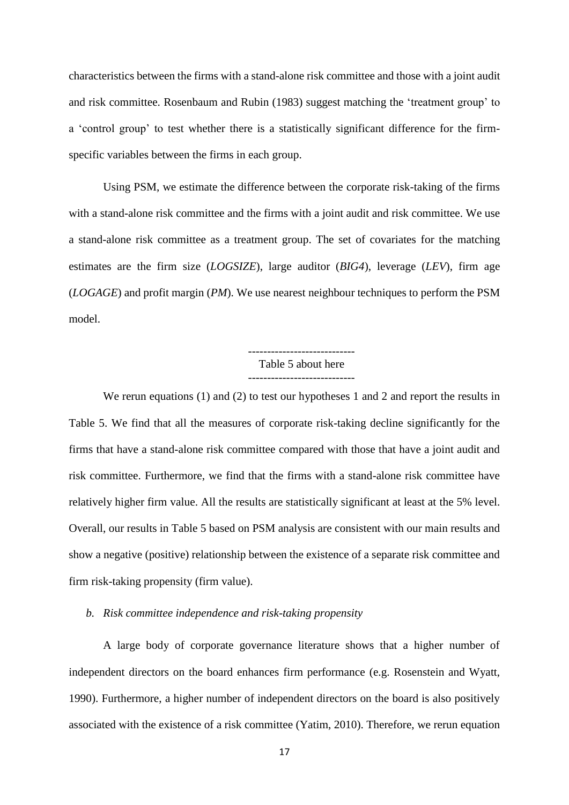characteristics between the firms with a stand-alone risk committee and those with a joint audit and risk committee. Rosenbaum and Rubin (1983) suggest matching the 'treatment group' to a 'control group' to test whether there is a statistically significant difference for the firmspecific variables between the firms in each group.

Using PSM, we estimate the difference between the corporate risk-taking of the firms with a stand-alone risk committee and the firms with a joint audit and risk committee. We use a stand-alone risk committee as a treatment group. The set of covariates for the matching estimates are the firm size (*LOGSIZE*), large auditor (*BIG4*), leverage (*LEV*), firm age (*LOGAGE*) and profit margin (*PM*). We use nearest neighbour techniques to perform the PSM model.

> Table 5 about here ----------------------------

We rerun equations (1) and (2) to test our hypotheses 1 and 2 and report the results in Table 5. We find that all the measures of corporate risk-taking decline significantly for the firms that have a stand-alone risk committee compared with those that have a joint audit and risk committee. Furthermore, we find that the firms with a stand-alone risk committee have relatively higher firm value. All the results are statistically significant at least at the 5% level. Overall, our results in Table 5 based on PSM analysis are consistent with our main results and show a negative (positive) relationship between the existence of a separate risk committee and firm risk-taking propensity (firm value).

*b. Risk committee independence and risk-taking propensity*

A large body of corporate governance literature shows that a higher number of independent directors on the board enhances firm performance (e.g. Rosenstein and Wyatt, 1990). Furthermore, a higher number of independent directors on the board is also positively associated with the existence of a risk committee (Yatim, 2010). Therefore, we rerun equation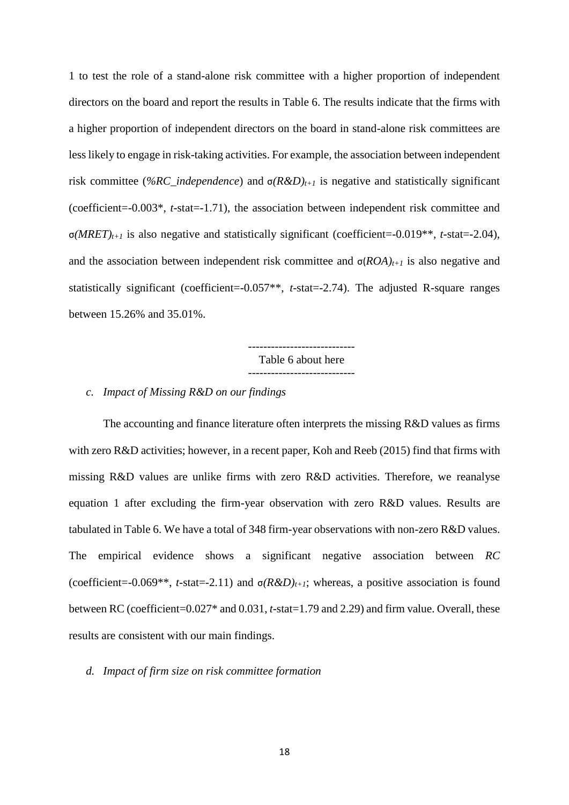1 to test the role of a stand-alone risk committee with a higher proportion of independent directors on the board and report the results in Table 6. The results indicate that the firms with a higher proportion of independent directors on the board in stand-alone risk committees are less likely to engage in risk-taking activities. For example, the association between independent risk committee (*%RC\_independence*) and σ*(R&D)t+1* is negative and statistically significant (coefficient=-0.003\*, *t*-stat=-1.71), the association between independent risk committee and σ*(MRET)t+1* is also negative and statistically significant (coefficient=-0.019\*\*, *t*-stat=-2.04), and the association between independent risk committee and  $\sigma (ROA)_{t+1}$  is also negative and statistically significant (coefficient=-0.057\*\*, *t*-stat=-2.74). The adjusted R-square ranges between 15.26% and 35.01%.

> ---------------------------- Table 6 about here

## *c. Impact of Missing R&D on our findings*

The accounting and finance literature often interprets the missing R&D values as firms with zero R&D activities; however, in a recent paper, Koh and Reeb (2015) find that firms with missing R&D values are unlike firms with zero R&D activities. Therefore, we reanalyse equation 1 after excluding the firm-year observation with zero R&D values. Results are tabulated in Table 6. We have a total of 348 firm-year observations with non-zero R&D values. The empirical evidence shows a significant negative association between *RC*  (coefficient=-0.069\*\*, *t*-stat=-2.11) and σ*(R&D)t+1*; whereas, a positive association is found between RC (coefficient=0.027\* and 0.031, *t*-stat=1.79 and 2.29) and firm value. Overall, these results are consistent with our main findings.

## *d. Impact of firm size on risk committee formation*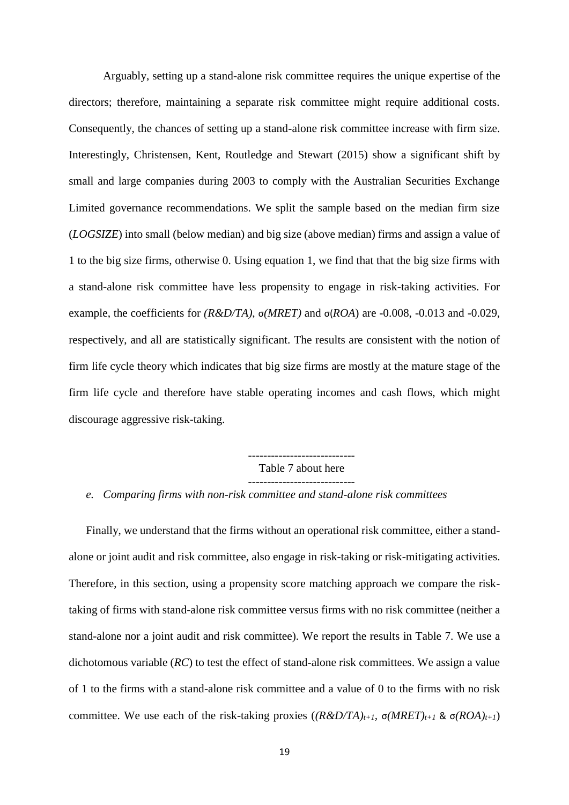Arguably, setting up a stand-alone risk committee requires the unique expertise of the directors; therefore, maintaining a separate risk committee might require additional costs. Consequently, the chances of setting up a stand-alone risk committee increase with firm size. Interestingly, Christensen, Kent, Routledge and Stewart (2015) show a significant shift by small and large companies during 2003 to comply with the Australian Securities Exchange Limited governance recommendations. We split the sample based on the median firm size (*LOGSIZE*) into small (below median) and big size (above median) firms and assign a value of 1 to the big size firms, otherwise 0. Using equation 1, we find that that the big size firms with a stand-alone risk committee have less propensity to engage in risk-taking activities. For example, the coefficients for *(R&D/TA)*, σ*(MRET)* and σ(*ROA*) are -0.008, -0.013 and -0.029, respectively, and all are statistically significant. The results are consistent with the notion of firm life cycle theory which indicates that big size firms are mostly at the mature stage of the firm life cycle and therefore have stable operating incomes and cash flows, which might discourage aggressive risk-taking.

> ---------------------------- Table 7 about here ----------------------------

*e. Comparing firms with non-risk committee and stand-alone risk committees*

Finally, we understand that the firms without an operational risk committee, either a standalone or joint audit and risk committee, also engage in risk-taking or risk-mitigating activities. Therefore, in this section, using a propensity score matching approach we compare the risktaking of firms with stand-alone risk committee versus firms with no risk committee (neither a stand-alone nor a joint audit and risk committee). We report the results in Table 7. We use a dichotomous variable (*RC*) to test the effect of stand-alone risk committees. We assign a value of 1 to the firms with a stand-alone risk committee and a value of 0 to the firms with no risk committee. We use each of the risk-taking proxies  $((R&D/TA)_{t+1}, \sigma(MRET)_{t+1} \& \sigma(ROA)_{t+1})$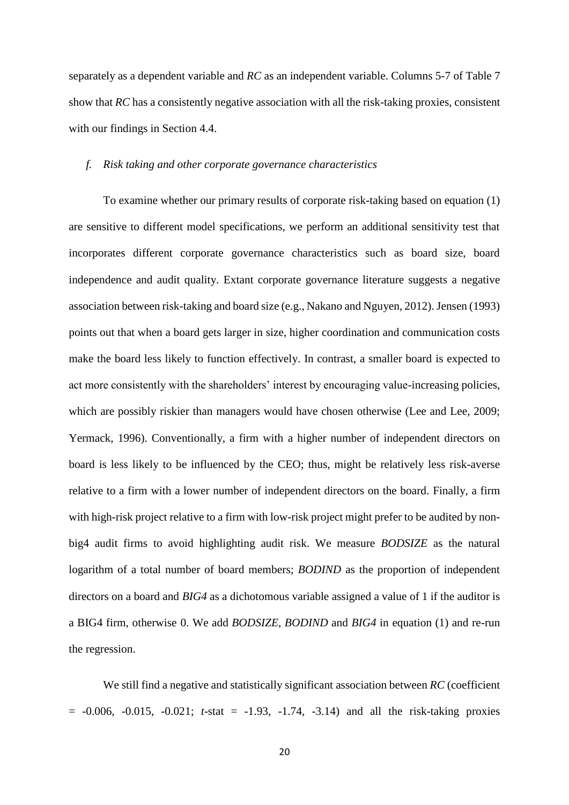separately as a dependent variable and *RC* as an independent variable. Columns 5-7 of Table 7 show that *RC* has a consistently negative association with all the risk-taking proxies, consistent with our findings in Section 4.4.

## *f. Risk taking and other corporate governance characteristics*

To examine whether our primary results of corporate risk-taking based on equation (1) are sensitive to different model specifications, we perform an additional sensitivity test that incorporates different corporate governance characteristics such as board size, board independence and audit quality. Extant corporate governance literature suggests a negative association between risk-taking and board size (e.g., Nakano and Nguyen, 2012). Jensen (1993) points out that when a board gets larger in size, higher coordination and communication costs make the board less likely to function effectively. In contrast, a smaller board is expected to act more consistently with the shareholders' interest by encouraging value-increasing policies, which are possibly riskier than managers would have chosen otherwise (Lee and Lee, 2009; Yermack, 1996). Conventionally, a firm with a higher number of independent directors on board is less likely to be influenced by the CEO; thus, might be relatively less risk-averse relative to a firm with a lower number of independent directors on the board. Finally, a firm with high-risk project relative to a firm with low-risk project might prefer to be audited by nonbig4 audit firms to avoid highlighting audit risk. We measure *BODSIZE* as the natural logarithm of a total number of board members; *BODIND* as the proportion of independent directors on a board and *BIG4* as a dichotomous variable assigned a value of 1 if the auditor is a BIG4 firm, otherwise 0. We add *BODSIZE*, *BODIND* and *BIG4* in equation (1) and re-run the regression.

We still find a negative and statistically significant association between *RC* (coefficient  $= -0.006, -0.015, -0.021; t-stat = -1.93, -1.74, -3.14$  and all the risk-taking proxies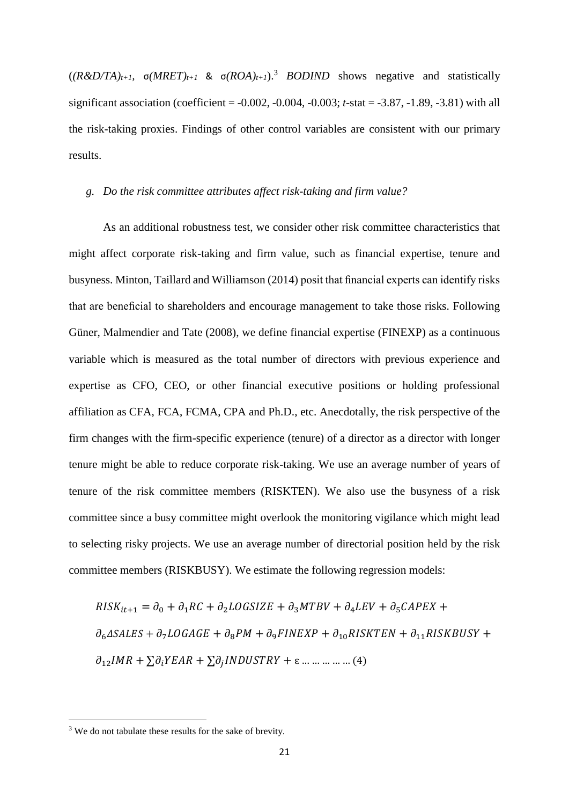$((R&D/TA)<sub>t+1</sub>, \sigma(MRET)<sub>t+1</sub> \& \sigma(ROA)<sub>t+1</sub>).$ <sup>3</sup> *BODIND* shows negative and statistically significant association (coefficient = -0.002, -0.004, -0.003; *t*-stat = -3.87, -1.89, -3.81) with all the risk-taking proxies. Findings of other control variables are consistent with our primary results.

#### *g. Do the risk committee attributes affect risk-taking and firm value?*

As an additional robustness test, we consider other risk committee characteristics that might affect corporate risk-taking and firm value, such as financial expertise, tenure and busyness. Minton, Taillard and Williamson (2014) posit that financial experts can identify risks that are beneficial to shareholders and encourage management to take those risks. Following Güner, Malmendier and Tate (2008), we define financial expertise (FINEXP) as a continuous variable which is measured as the total number of directors with previous experience and expertise as CFO, CEO, or other financial executive positions or holding professional affiliation as CFA, FCA, FCMA, CPA and Ph.D., etc. Anecdotally, the risk perspective of the firm changes with the firm-specific experience (tenure) of a director as a director with longer tenure might be able to reduce corporate risk-taking. We use an average number of years of tenure of the risk committee members (RISKTEN). We also use the busyness of a risk committee since a busy committee might overlook the monitoring vigilance which might lead to selecting risky projects. We use an average number of directorial position held by the risk committee members (RISKBUSY). We estimate the following regression models:

$$
RISK_{it+1} = \partial_0 + \partial_1 RC + \partial_2 LOGSIZE + \partial_3 MTBV + \partial_4 LEV + \partial_5 CAPEX +
$$
  

$$
\partial_6 \Delta SALES + \partial_7 LOGAGE + \partial_8 PM + \partial_9 FINEXP + \partial_{10} RISKTEN + \partial_{11} RISKBUSY +
$$
  

$$
\partial_{12} IMR + \sum \partial_i YEAR + \sum \partial_j INDUSTRY + \varepsilon \dots \dots \dots \dots \dots (4)
$$

**.** 

<sup>&</sup>lt;sup>3</sup> We do not tabulate these results for the sake of brevity.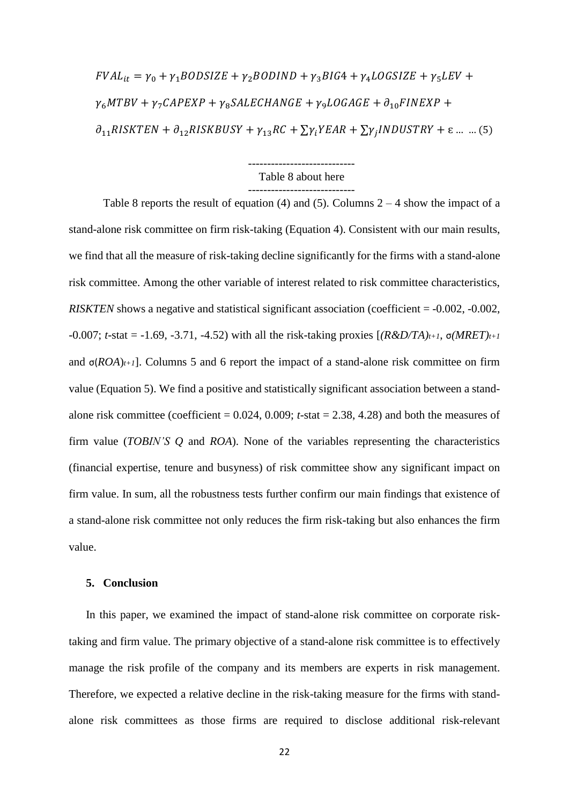$FVAL_{it} = \gamma_0 + \gamma_1 BODSIZE + \gamma_2 BODIND + \gamma_3 BIG4 + \gamma_4 LOGSIZE + \gamma_5 LEV +$  $\gamma_6 M T B V + \gamma_7 CA P E X P + \gamma_8 SA L E CH A N G E + \gamma_9 LO G A G E + \partial_{10} F IN E X P +$  $\partial_{11}$ RISKTEN +  $\partial_{12}$ RISKBUSY +  $\gamma_{13}$ RC +  $\sum \gamma_i Y E A R$  +  $\sum \gamma_j INDUSTRY$  +  $\varepsilon$  ... ... (5)

## ---------------------------- Table 8 about here ----------------------------

Table 8 reports the result of equation (4) and (5). Columns  $2 - 4$  show the impact of a stand-alone risk committee on firm risk-taking (Equation 4). Consistent with our main results, we find that all the measure of risk-taking decline significantly for the firms with a stand-alone risk committee. Among the other variable of interest related to risk committee characteristics, *RISKTEN* shows a negative and statistical significant association (coefficient = -0.002, -0.002, -0.007; *t*-stat = -1.69, -3.71, -4.52) with all the risk-taking proxies [*(R&D/TA)t+1*, σ*(MRET)t+1*  and  $\sigma(ROA)_{t+1}$ ]. Columns 5 and 6 report the impact of a stand-alone risk committee on firm value (Equation 5). We find a positive and statistically significant association between a standalone risk committee (coefficient = 0.024, 0.009; *t*-stat = 2.38, 4.28) and both the measures of firm value (*TOBIN'S Q* and *ROA*). None of the variables representing the characteristics (financial expertise, tenure and busyness) of risk committee show any significant impact on firm value. In sum, all the robustness tests further confirm our main findings that existence of a stand-alone risk committee not only reduces the firm risk-taking but also enhances the firm value.

## **5. Conclusion**

In this paper, we examined the impact of stand-alone risk committee on corporate risktaking and firm value. The primary objective of a stand-alone risk committee is to effectively manage the risk profile of the company and its members are experts in risk management. Therefore, we expected a relative decline in the risk-taking measure for the firms with standalone risk committees as those firms are required to disclose additional risk-relevant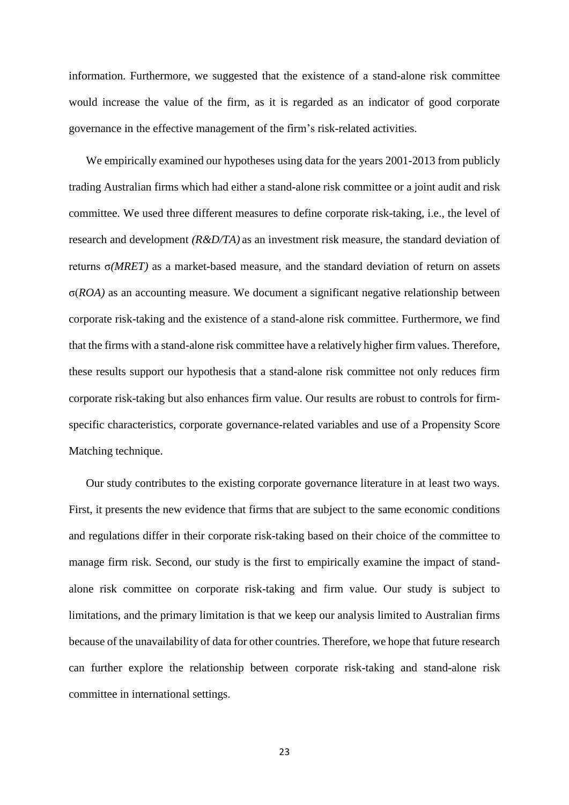information. Furthermore, we suggested that the existence of a stand-alone risk committee would increase the value of the firm, as it is regarded as an indicator of good corporate governance in the effective management of the firm's risk-related activities.

We empirically examined our hypotheses using data for the years 2001-2013 from publicly trading Australian firms which had either a stand-alone risk committee or a joint audit and risk committee. We used three different measures to define corporate risk-taking, i.e., the level of research and development *(R&D/TA)* as an investment risk measure, the standard deviation of returns σ*(MRET)* as a market-based measure, and the standard deviation of return on assets σ(*ROA)* as an accounting measure. We document a significant negative relationship between corporate risk-taking and the existence of a stand-alone risk committee. Furthermore, we find that the firms with a stand-alone risk committee have a relatively higher firm values. Therefore, these results support our hypothesis that a stand-alone risk committee not only reduces firm corporate risk-taking but also enhances firm value. Our results are robust to controls for firmspecific characteristics, corporate governance-related variables and use of a Propensity Score Matching technique.

Our study contributes to the existing corporate governance literature in at least two ways. First, it presents the new evidence that firms that are subject to the same economic conditions and regulations differ in their corporate risk-taking based on their choice of the committee to manage firm risk. Second, our study is the first to empirically examine the impact of standalone risk committee on corporate risk-taking and firm value. Our study is subject to limitations, and the primary limitation is that we keep our analysis limited to Australian firms because of the unavailability of data for other countries. Therefore, we hope that future research can further explore the relationship between corporate risk-taking and stand-alone risk committee in international settings.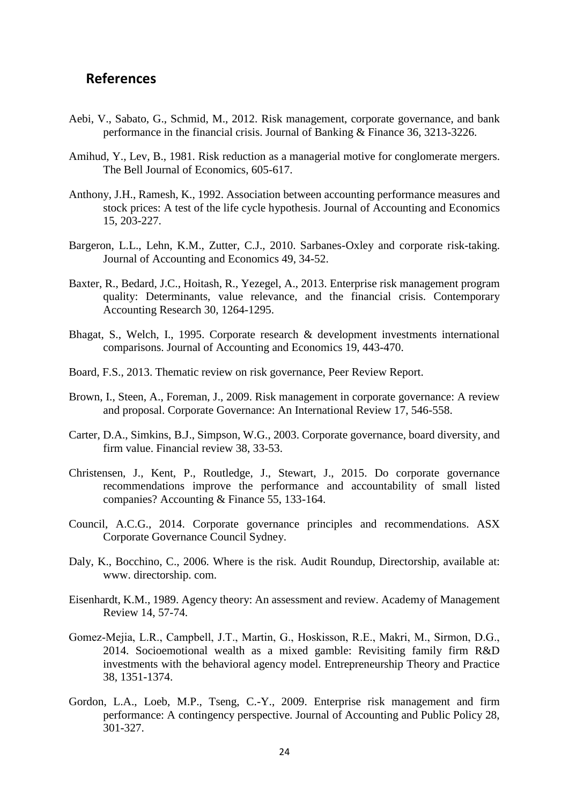## **References**

- Aebi, V., Sabato, G., Schmid, M., 2012. Risk management, corporate governance, and bank performance in the financial crisis. Journal of Banking & Finance 36, 3213-3226.
- Amihud, Y., Lev, B., 1981. Risk reduction as a managerial motive for conglomerate mergers. The Bell Journal of Economics, 605-617.
- Anthony, J.H., Ramesh, K., 1992. Association between accounting performance measures and stock prices: A test of the life cycle hypothesis. Journal of Accounting and Economics 15, 203-227.
- Bargeron, L.L., Lehn, K.M., Zutter, C.J., 2010. Sarbanes-Oxley and corporate risk-taking. Journal of Accounting and Economics 49, 34-52.
- Baxter, R., Bedard, J.C., Hoitash, R., Yezegel, A., 2013. Enterprise risk management program quality: Determinants, value relevance, and the financial crisis. Contemporary Accounting Research 30, 1264-1295.
- Bhagat, S., Welch, I., 1995. Corporate research & development investments international comparisons. Journal of Accounting and Economics 19, 443-470.
- Board, F.S., 2013. Thematic review on risk governance, Peer Review Report.
- Brown, I., Steen, A., Foreman, J., 2009. Risk management in corporate governance: A review and proposal. Corporate Governance: An International Review 17, 546-558.
- Carter, D.A., Simkins, B.J., Simpson, W.G., 2003. Corporate governance, board diversity, and firm value. Financial review 38, 33-53.
- Christensen, J., Kent, P., Routledge, J., Stewart, J., 2015. Do corporate governance recommendations improve the performance and accountability of small listed companies? Accounting & Finance 55, 133-164.
- Council, A.C.G., 2014. Corporate governance principles and recommendations. ASX Corporate Governance Council Sydney.
- Daly, K., Bocchino, C., 2006. Where is the risk. Audit Roundup, Directorship, available at: www. directorship. com.
- Eisenhardt, K.M., 1989. Agency theory: An assessment and review. Academy of Management Review 14, 57-74.
- Gomez‐Mejia, L.R., Campbell, J.T., Martin, G., Hoskisson, R.E., Makri, M., Sirmon, D.G., 2014. Socioemotional wealth as a mixed gamble: Revisiting family firm R&D investments with the behavioral agency model. Entrepreneurship Theory and Practice 38, 1351-1374.
- Gordon, L.A., Loeb, M.P., Tseng, C.-Y., 2009. Enterprise risk management and firm performance: A contingency perspective. Journal of Accounting and Public Policy 28, 301-327.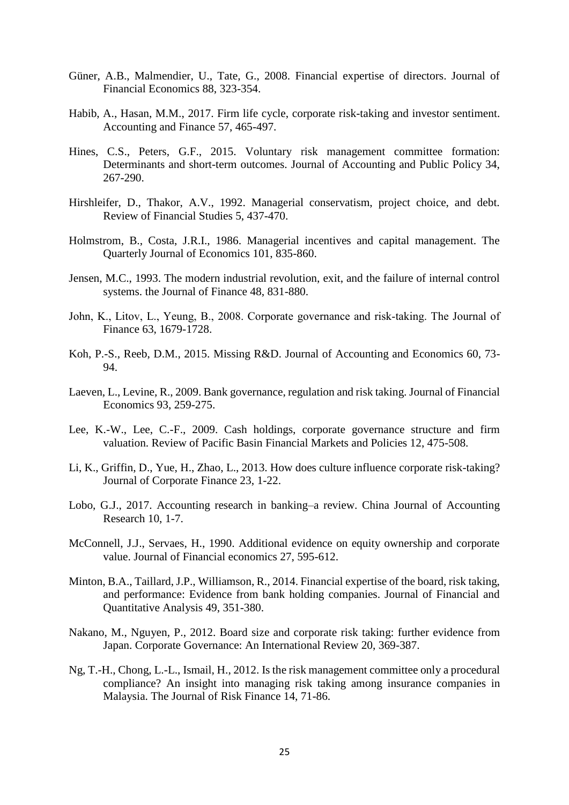- Güner, A.B., Malmendier, U., Tate, G., 2008. Financial expertise of directors. Journal of Financial Economics 88, 323-354.
- Habib, A., Hasan, M.M., 2017. Firm life cycle, corporate risk-taking and investor sentiment. Accounting and Finance 57, 465-497.
- Hines, C.S., Peters, G.F., 2015. Voluntary risk management committee formation: Determinants and short-term outcomes. Journal of Accounting and Public Policy 34, 267-290.
- Hirshleifer, D., Thakor, A.V., 1992. Managerial conservatism, project choice, and debt. Review of Financial Studies 5, 437-470.
- Holmstrom, B., Costa, J.R.I., 1986. Managerial incentives and capital management. The Quarterly Journal of Economics 101, 835-860.
- Jensen, M.C., 1993. The modern industrial revolution, exit, and the failure of internal control systems. the Journal of Finance 48, 831-880.
- John, K., Litov, L., Yeung, B., 2008. Corporate governance and risk‐taking. The Journal of Finance 63, 1679-1728.
- Koh, P.-S., Reeb, D.M., 2015. Missing R&D. Journal of Accounting and Economics 60, 73- 94.
- Laeven, L., Levine, R., 2009. Bank governance, regulation and risk taking. Journal of Financial Economics 93, 259-275.
- Lee, K.-W., Lee, C.-F., 2009. Cash holdings, corporate governance structure and firm valuation. Review of Pacific Basin Financial Markets and Policies 12, 475-508.
- Li, K., Griffin, D., Yue, H., Zhao, L., 2013. How does culture influence corporate risk-taking? Journal of Corporate Finance 23, 1-22.
- Lobo, G.J., 2017. Accounting research in banking–a review. China Journal of Accounting Research 10, 1-7.
- McConnell, J.J., Servaes, H., 1990. Additional evidence on equity ownership and corporate value. Journal of Financial economics 27, 595-612.
- Minton, B.A., Taillard, J.P., Williamson, R., 2014. Financial expertise of the board, risk taking, and performance: Evidence from bank holding companies. Journal of Financial and Quantitative Analysis 49, 351-380.
- Nakano, M., Nguyen, P., 2012. Board size and corporate risk taking: further evidence from Japan. Corporate Governance: An International Review 20, 369-387.
- Ng, T.-H., Chong, L.-L., Ismail, H., 2012. Is the risk management committee only a procedural compliance? An insight into managing risk taking among insurance companies in Malaysia. The Journal of Risk Finance 14, 71-86.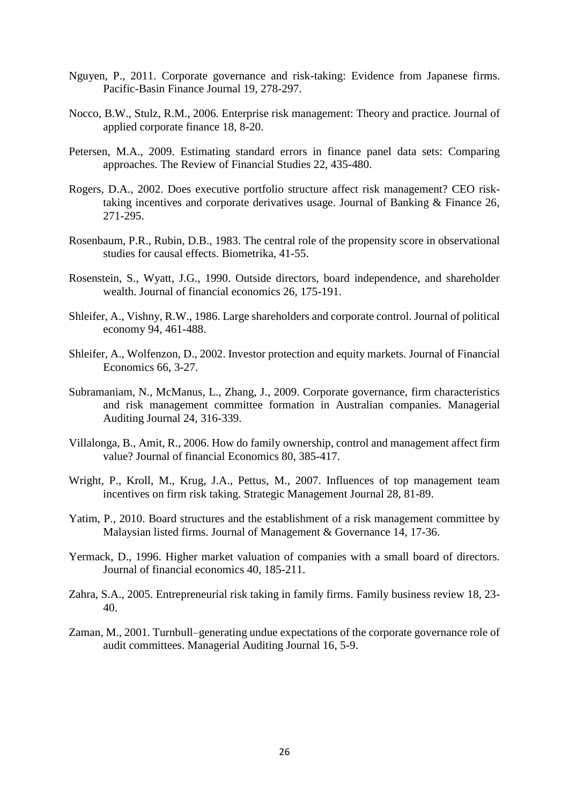- Nguyen, P., 2011. Corporate governance and risk-taking: Evidence from Japanese firms. Pacific-Basin Finance Journal 19, 278-297.
- Nocco, B.W., Stulz, R.M., 2006. Enterprise risk management: Theory and practice. Journal of applied corporate finance 18, 8-20.
- Petersen, M.A., 2009. Estimating standard errors in finance panel data sets: Comparing approaches. The Review of Financial Studies 22, 435-480.
- Rogers, D.A., 2002. Does executive portfolio structure affect risk management? CEO risktaking incentives and corporate derivatives usage. Journal of Banking & Finance 26, 271-295.
- Rosenbaum, P.R., Rubin, D.B., 1983. The central role of the propensity score in observational studies for causal effects. Biometrika, 41-55.
- Rosenstein, S., Wyatt, J.G., 1990. Outside directors, board independence, and shareholder wealth. Journal of financial economics 26, 175-191.
- Shleifer, A., Vishny, R.W., 1986. Large shareholders and corporate control. Journal of political economy 94, 461-488.
- Shleifer, A., Wolfenzon, D., 2002. Investor protection and equity markets. Journal of Financial Economics 66, 3-27.
- Subramaniam, N., McManus, L., Zhang, J., 2009. Corporate governance, firm characteristics and risk management committee formation in Australian companies. Managerial Auditing Journal 24, 316-339.
- Villalonga, B., Amit, R., 2006. How do family ownership, control and management affect firm value? Journal of financial Economics 80, 385-417.
- Wright, P., Kroll, M., Krug, J.A., Pettus, M., 2007. Influences of top management team incentives on firm risk taking. Strategic Management Journal 28, 81-89.
- Yatim, P., 2010. Board structures and the establishment of a risk management committee by Malaysian listed firms. Journal of Management & Governance 14, 17-36.
- Yermack, D., 1996. Higher market valuation of companies with a small board of directors. Journal of financial economics 40, 185-211.
- Zahra, S.A., 2005. Entrepreneurial risk taking in family firms. Family business review 18, 23- 40.
- Zaman, M., 2001. Turnbull–generating undue expectations of the corporate governance role of audit committees. Managerial Auditing Journal 16, 5-9.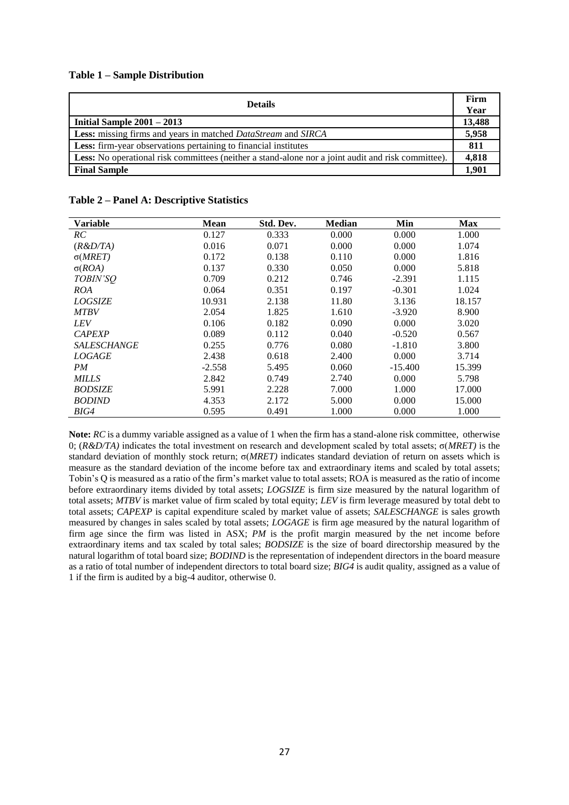#### **Table 1 – Sample Distribution**

| <b>Details</b>                                                                                     | Firm<br>Year |
|----------------------------------------------------------------------------------------------------|--------------|
| Initial Sample $2001 - 2013$                                                                       | 13,488       |
| <b>Less:</b> missing firms and years in matched <i>DataStream</i> and <i>SIRCA</i>                 | 5,958        |
| Less: firm-year observations pertaining to financial institutes                                    | 811          |
| Less: No operational risk committees (neither a stand-alone nor a joint audit and risk committee). | 4,818        |
| <b>Final Sample</b>                                                                                | 1.901        |

| Table 2 - Panel A: Descriptive Statistics |  |  |  |
|-------------------------------------------|--|--|--|
|-------------------------------------------|--|--|--|

| <b>Variable</b>    | <b>Mean</b> | Std. Dev. | <b>Median</b> | Min       | <b>Max</b> |
|--------------------|-------------|-----------|---------------|-----------|------------|
| RC                 | 0.127       | 0.333     | 0.000         | 0.000     | 1.000      |
| (R&D/TA)           | 0.016       | 0.071     | 0.000         | 0.000     | 1.074      |
| $\sigma(MRET)$     | 0.172       | 0.138     | 0.110         | 0.000     | 1.816      |
| $\sigma(ROA)$      | 0.137       | 0.330     | 0.050         | 0.000     | 5.818      |
| TOBIN'SO           | 0.709       | 0.212     | 0.746         | $-2.391$  | 1.115      |
| ROA                | 0.064       | 0.351     | 0.197         | $-0.301$  | 1.024      |
| <b>LOGSIZE</b>     | 10.931      | 2.138     | 11.80         | 3.136     | 18.157     |
| <b>MTBV</b>        | 2.054       | 1.825     | 1.610         | $-3.920$  | 8.900      |
| <b>LEV</b>         | 0.106       | 0.182     | 0.090         | 0.000     | 3.020      |
| <b>CAPEXP</b>      | 0.089       | 0.112     | 0.040         | $-0.520$  | 0.567      |
| <b>SALESCHANGE</b> | 0.255       | 0.776     | 0.080         | $-1.810$  | 3.800      |
| <i>LOGAGE</i>      | 2.438       | 0.618     | 2.400         | 0.000     | 3.714      |
| PM                 | $-2.558$    | 5.495     | 0.060         | $-15.400$ | 15.399     |
| <b>MILLS</b>       | 2.842       | 0.749     | 2.740         | 0.000     | 5.798      |
| <b>BODSIZE</b>     | 5.991       | 2.228     | 7.000         | 1.000     | 17.000     |
| <b>BODIND</b>      | 4.353       | 2.172     | 5.000         | 0.000     | 15.000     |
| BIG4               | 0.595       | 0.491     | 1.000         | 0.000     | 1.000      |

**Note:** *RC* is a dummy variable assigned as a value of 1 when the firm has a stand-alone risk committee, otherwise 0; (*R&D/TA)* indicates the total investment on research and development scaled by total assets; σ(*MRET)* is the standard deviation of monthly stock return; σ(*MRET)* indicates standard deviation of return on assets which is measure as the standard deviation of the income before tax and extraordinary items and scaled by total assets; Tobin's Q is measured as a ratio of the firm's market value to total assets; ROA is measured as the ratio of income before extraordinary items divided by total assets; *LOGSIZE* is firm size measured by the natural logarithm of total assets; *MTBV* is market value of firm scaled by total equity; *LEV* is firm leverage measured by total debt to total assets; *CAPEXP* is capital expenditure scaled by market value of assets; *SALESCHANGE* is sales growth measured by changes in sales scaled by total assets; *LOGAGE* is firm age measured by the natural logarithm of firm age since the firm was listed in ASX; *PM* is the profit margin measured by the net income before extraordinary items and tax scaled by total sales; *BODSIZE* is the size of board directorship measured by the natural logarithm of total board size; *BODIND* is the representation of independent directors in the board measure as a ratio of total number of independent directors to total board size; *BIG4* is audit quality, assigned as a value of 1 if the firm is audited by a big-4 auditor, otherwise 0.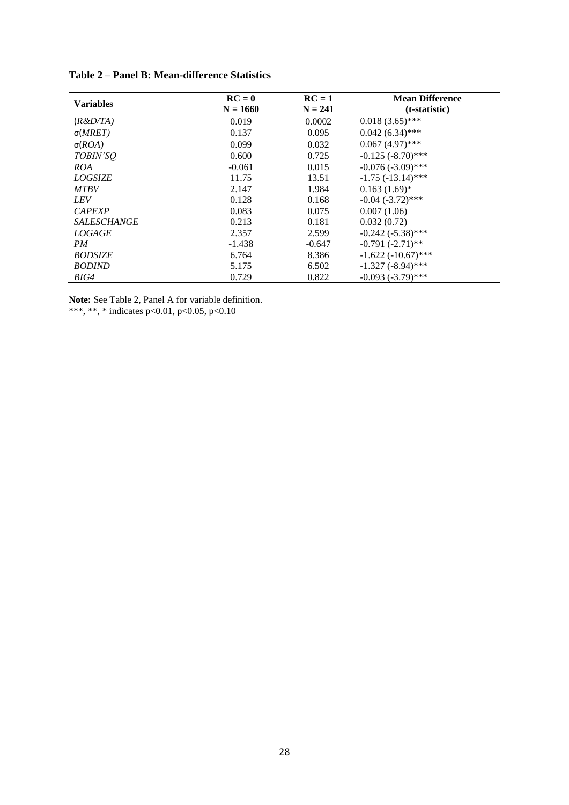| <b>Variables</b>   | $RC = 0$   | $RC = 1$  | <b>Mean Difference</b>  |
|--------------------|------------|-----------|-------------------------|
|                    | $N = 1660$ | $N = 241$ | (t-statistic)           |
| (R & D/TA)         | 0.019      | 0.0002    | $0.018(3.65)$ ***       |
| $\sigma(MRET)$     | 0.137      | 0.095     | $0.042(6.34)$ ***       |
| $\sigma (ROA)$     | 0.099      | 0.032     | $0.067(4.97)$ ***       |
| TOBIN'SO           | 0.600      | 0.725     | $-0.125$ $(-8.70)$ ***  |
| ROA                | $-0.061$   | 0.015     | $-0.076(-3.09)$ ***     |
| <b>LOGSIZE</b>     | 11.75      | 13.51     | $-1.75$ ( $-13.14$ )*** |
| <b>MTBV</b>        | 2.147      | 1.984     | $0.163(1.69)$ *         |
| <b>LEV</b>         | 0.128      | 0.168     | $-0.04$ $(-3.72)$ ***   |
| <b>CAPEXP</b>      | 0.083      | 0.075     | 0.007(1.06)             |
| <b>SALESCHANGE</b> | 0.213      | 0.181     | 0.032(0.72)             |
| <b>LOGAGE</b>      | 2.357      | 2.599     | $-0.242 (-5.38)$ ***    |
| PM                 | $-1.438$   | $-0.647$  | $-0.791(-2.71)$ **      |
| <b>BODSIZE</b>     | 6.764      | 8.386     | $-1.622(-10.67)$ ***    |
| <b>BODIND</b>      | 5.175      | 6.502     | $-1.327$ $(-8.94)$ ***  |
| BIG4               | 0.729      | 0.822     | $-0.093$ $(-3.79)$ ***  |

**Table 2 – Panel B: Mean-difference Statistics**

**Note:** See Table 2, Panel A for variable definition. \*\*\*, \*\*, \* indicates p<0.01, p<0.05, p<0.10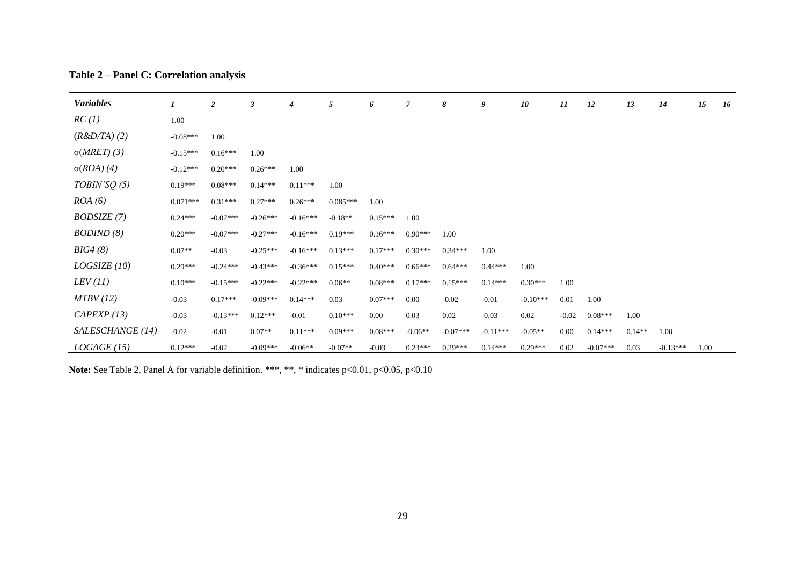| Table 2 – Panel C: Correlation analysis |  |  |
|-----------------------------------------|--|--|
|-----------------------------------------|--|--|

| <b>Variables</b>   |            | 2          | 3          | 4          | 5          | 6         | 7         | 8          | 9          | 10         | 11       | 12         | 13       | 14         | 15   | 16 |
|--------------------|------------|------------|------------|------------|------------|-----------|-----------|------------|------------|------------|----------|------------|----------|------------|------|----|
| RC(1)              | 1.00       |            |            |            |            |           |           |            |            |            |          |            |          |            |      |    |
| (R&D/TA)(2)        | $-0.08***$ | 1.00       |            |            |            |           |           |            |            |            |          |            |          |            |      |    |
| $\sigma(MRET)$ (3) | $-0.15***$ | $0.16***$  | 1.00       |            |            |           |           |            |            |            |          |            |          |            |      |    |
| $\sigma(ROA)$ (4)  | $-0.12***$ | $0.20***$  | $0.26***$  | 1.00       |            |           |           |            |            |            |          |            |          |            |      |    |
| TOBIN'SQ(5)        | $0.19***$  | $0.08***$  | $0.14***$  | $0.11***$  | 1.00       |           |           |            |            |            |          |            |          |            |      |    |
| ROA(6)             | $0.071***$ | $0.31***$  | $0.27***$  | $0.26***$  | $0.085***$ | 1.00      |           |            |            |            |          |            |          |            |      |    |
| BODSIZE (7)        | $0.24***$  | $-0.07***$ | $-0.26***$ | $-0.16***$ | $-0.18**$  | $0.15***$ | 1.00      |            |            |            |          |            |          |            |      |    |
| BODIND(8)          | $0.20***$  | $-0.07***$ | $-0.27***$ | $-0.16***$ | $0.19***$  | $0.16***$ | $0.90***$ | 1.00       |            |            |          |            |          |            |      |    |
| BIG4(8)            | $0.07**$   | $-0.03$    | $-0.25***$ | $-0.16***$ | $0.13***$  | $0.17***$ | $0.30***$ | $0.34***$  | 1.00       |            |          |            |          |            |      |    |
| LOGSIZE(10)        | $0.29***$  | $-0.24***$ | $-0.43***$ | $-0.36***$ | $0.15***$  | $0.40***$ | $0.66***$ | $0.64***$  | $0.44***$  | 1.00       |          |            |          |            |      |    |
| LEV(11)            | $0.10***$  | $-0.15***$ | $-0.22***$ | $-0.22***$ | $0.06**$   | $0.08***$ | $0.17***$ | $0.15***$  | $0.14***$  | $0.30***$  | 1.00     |            |          |            |      |    |
| MTBV(12)           | $-0.03$    | $0.17***$  | $-0.09***$ | $0.14***$  | 0.03       | $0.07***$ | 0.00      | $-0.02$    | $-0.01$    | $-0.10***$ | 0.01     | 1.00       |          |            |      |    |
| CAPEXP(13)         | $-0.03$    | $-0.13***$ | $0.12***$  | $-0.01$    | $0.10***$  | $0.00\,$  | 0.03      | 0.02       | $-0.03$    | 0.02       | $-0.02$  | $0.08***$  | 1.00     |            |      |    |
| SALESCHANGE (14)   | $-0.02$    | $-0.01$    | $0.07**$   | $0.11***$  | $0.09***$  | $0.08***$ | $-0.06**$ | $-0.07***$ | $-0.11***$ | $-0.05**$  | $0.00\,$ | $0.14***$  | $0.14**$ | 1.00       |      |    |
| LOGAGE(15)         | $0.12***$  | $-0.02$    | $-0.09***$ | $-0.06**$  | $-0.07**$  | $-0.03$   | $0.23***$ | $0.29***$  | $0.14***$  | $0.29***$  | 0.02     | $-0.07***$ | 0.03     | $-0.13***$ | 1.00 |    |

Note: See Table 2, Panel A for variable definition. \*\*\*, \*\*, \* indicates p<0.01, p<0.05, p<0.10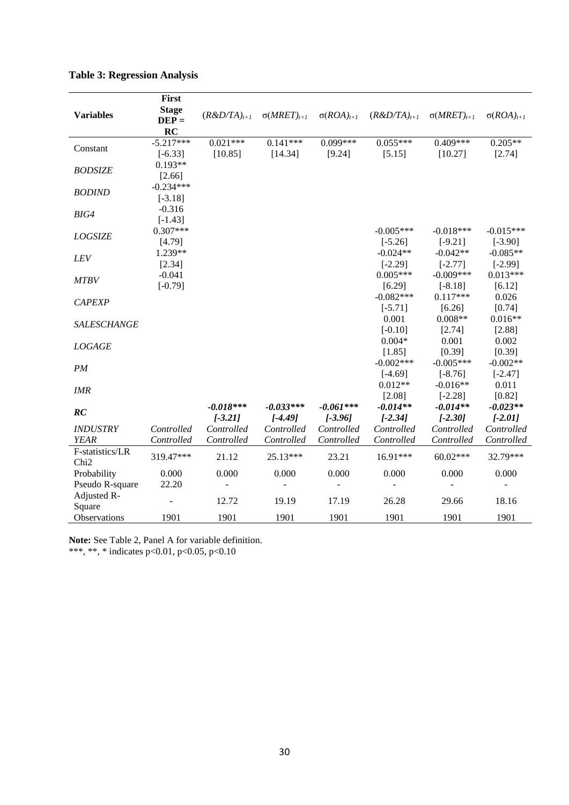|                  | First          |                  |                      |                     |                  |                      |                     |
|------------------|----------------|------------------|----------------------|---------------------|------------------|----------------------|---------------------|
| <b>Variables</b> | <b>Stage</b>   | $(R&D/TA)_{t+1}$ | $\sigma(MRET)_{t+1}$ | $\sigma(ROA)_{t+1}$ | $(R&D/TA)_{t+1}$ | $\sigma(MRET)_{t+1}$ | $\sigma(ROA)_{t+1}$ |
|                  | $DEF =$        |                  |                      |                     |                  |                      |                     |
|                  | RC             |                  |                      |                     |                  |                      |                     |
| Constant         | $-5.217***$    | $0.021***$       | $0.141***$           | $0.099***$          | $0.055***$       | $0.409***$           | $0.205**$           |
|                  | $[-6.33]$      | [10.85]          | [14.34]              | [9.24]              | [5.15]           | [10.27]              | [2.74]              |
| <b>BODSIZE</b>   | $0.193**$      |                  |                      |                     |                  |                      |                     |
|                  | [2.66]         |                  |                      |                     |                  |                      |                     |
| <b>BODIND</b>    | $-0.234***$    |                  |                      |                     |                  |                      |                     |
|                  | $[-3.18]$      |                  |                      |                     |                  |                      |                     |
| BIG4             | $-0.316$       |                  |                      |                     |                  |                      |                     |
|                  | $[-1.43]$      |                  |                      |                     |                  |                      |                     |
| <b>LOGSIZE</b>   | $0.307***$     |                  |                      |                     | $-0.005***$      | $-0.018***$          | $-0.015***$         |
|                  | [4.79]         |                  |                      |                     | $[-5.26]$        | $[-9.21]$            | $[-3.90]$           |
| LEV              | 1.239**        |                  |                      |                     | $-0.024**$       | $-0.042**$           | $-0.085**$          |
|                  | [2.34]         |                  |                      |                     | $[-2.29]$        | $[-2.77]$            | $[-2.99]$           |
| <b>MTBV</b>      | $-0.041$       |                  |                      |                     | $0.005***$       | $-0.009***$          | $0.013***$          |
|                  | $[-0.79]$      |                  |                      |                     | [6.29]           | $[-8.18]$            | [6.12]              |
| <b>CAPEXP</b>    |                |                  |                      |                     | $-0.082***$      | $0.117***$           | 0.026               |
|                  |                |                  |                      |                     | $[-5.71]$        | [6.26]               | [0.74]              |
| SALESCHANGE      |                |                  |                      |                     | 0.001            | $0.008**$            | $0.016**$           |
|                  |                |                  |                      |                     | $[-0.10]$        | [2.74]               | [2.88]              |
| <b>LOGAGE</b>    |                |                  |                      |                     | $0.004*$         | 0.001                | 0.002               |
|                  |                |                  |                      |                     | [1.85]           | [0.39]               | [0.39]              |
| PM               |                |                  |                      |                     | $-0.002$ ***     | $-0.005***$          | $-0.002**$          |
|                  |                |                  |                      |                     | $[-4.69]$        | $[-8.76]$            | $[-2.47]$           |
| IMR              |                |                  |                      |                     | $0.012**$        | $-0.016**$           | 0.011               |
|                  |                |                  |                      |                     | [2.08]           | $[-2.28]$            | [0.82]              |
| RC               |                | $-0.018***$      | $-0.033***$          | $-0.061***$         | $-0.014**$       | $-0.014**$           | $-0.023**$          |
|                  |                | $[-3.21]$        | $[-4.49]$            | $[-3.96]$           | $[-2.34]$        | $[-2.30]$            | $[-2.01]$           |
| <b>INDUSTRY</b>  | Controlled     | Controlled       | Controlled           | Controlled          | Controlled       | Controlled           | Controlled          |
| <b>YEAR</b>      | Controlled     | Controlled       | Controlled           | Controlled          | Controlled       | Controlled           | Controlled          |
| F-statistics/LR  | 319.47***      | 21.12            | 25.13***             | 23.21               | 16.91***         | $60.02***$           | 32.79***            |
| Chi <sub>2</sub> |                |                  |                      |                     |                  |                      |                     |
| Probability      | 0.000          | 0.000            | 0.000                | 0.000               | 0.000            | 0.000                | 0.000               |
| Pseudo R-square  | 22.20          |                  |                      |                     |                  |                      |                     |
| Adjusted R-      | $\overline{a}$ | 12.72            | 19.19                | 17.19               | 26.28            | 29.66                | 18.16               |
| Square           |                |                  |                      |                     |                  |                      |                     |
| Observations     | 1901           | 1901             | 1901                 | 1901                | 1901             | 1901                 | 1901                |

| <b>Table 3: Regression Analysis</b> |  |  |  |
|-------------------------------------|--|--|--|
|-------------------------------------|--|--|--|

**Note:** See Table 2, Panel A for variable definition.

\*\*\*, \*\*, \* indicates p<0.01, p<0.05, p<0.10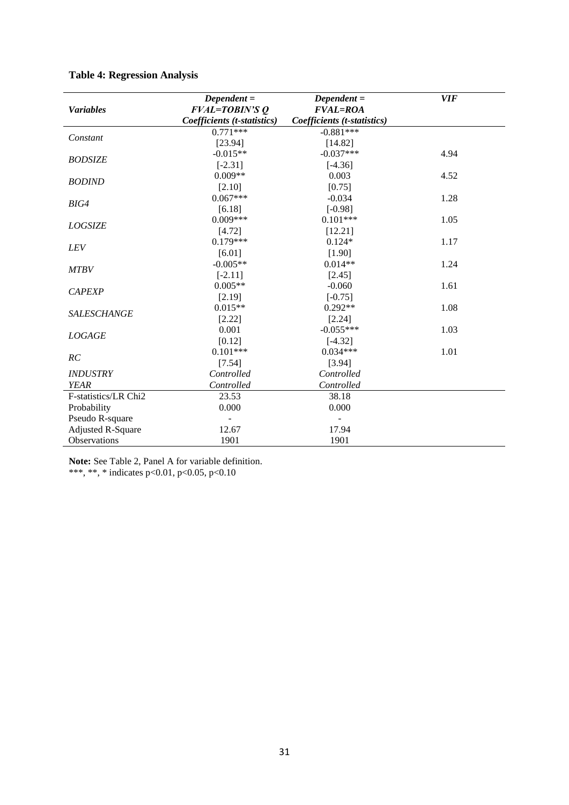|                          | $Dependent =$               | $Dependent =$               | <b>VIF</b> |
|--------------------------|-----------------------------|-----------------------------|------------|
| <b>Variables</b>         | <b>FVAL=TOBIN'S O</b>       | <b>FVAL=ROA</b>             |            |
|                          | Coefficients (t-statistics) | Coefficients (t-statistics) |            |
|                          | $0.771***$                  | $-0.881***$                 |            |
| Constant                 | [23.94]                     | [14.82]                     |            |
| <b>BODSIZE</b>           | $-0.015**$                  | $-0.037***$                 | 4.94       |
|                          | $[-2.31]$                   | $[-4.36]$                   |            |
| <b>BODIND</b>            | $0.009**$                   | 0.003                       | 4.52       |
|                          | [2.10]                      | [0.75]                      |            |
| BIG4                     | $0.067***$                  | $-0.034$                    | 1.28       |
|                          | [6.18]                      | $[-0.98]$                   |            |
| <b>LOGSIZE</b>           | $0.009***$                  | $0.101***$                  | 1.05       |
|                          | [4.72]                      | [12.21]                     |            |
| <b>LEV</b>               | $0.179***$                  | $0.124*$                    | 1.17       |
|                          | [6.01]                      | [1.90]                      |            |
| <b>MTBV</b>              | $-0.005**$                  | $0.014**$                   | 1.24       |
|                          | $[-2.11]$                   | [2.45]                      |            |
| <b>CAPEXP</b>            | $0.005**$                   | $-0.060$                    | 1.61       |
|                          | [2.19]                      | $[-0.75]$                   |            |
| SALESCHANGE              | $0.015**$                   | $0.292**$                   | 1.08       |
|                          | [2.22]                      | [2.24]                      |            |
| <b>LOGAGE</b>            | 0.001                       | $-0.055***$                 | 1.03       |
|                          | [0.12]                      | $[-4.32]$                   |            |
| RC                       | $0.101***$                  | $0.034***$                  | 1.01       |
|                          | [7.54]                      | [3.94]                      |            |
| <b>INDUSTRY</b>          | Controlled                  | Controlled                  |            |
| <b>YEAR</b>              | Controlled                  | Controlled                  |            |
| F-statistics/LR Chi2     | 23.53                       | 38.18                       |            |
| Probability              | 0.000                       | 0.000                       |            |
| Pseudo R-square          |                             |                             |            |
| <b>Adjusted R-Square</b> | 12.67                       | 17.94                       |            |
| Observations             | 1901                        | 1901                        |            |

## **Table 4: Regression Analysis**

**Note:** See Table 2, Panel A for variable definition.

\*\*\*, \*\*, \* indicates p<0.01, p<0.05, p<0.10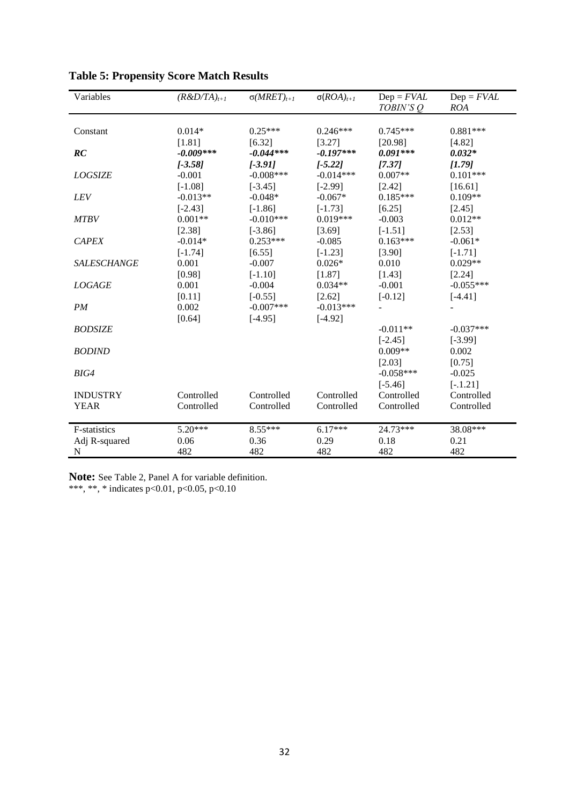| Variables          | $(R&D/TA)_{t+1}$ | $\sigma(MRET)_{t+1}$ | $\sigma (ROA)_{t+1}$ | $Dep = FVAL$<br>TOBIN'S Q | $Dep = FVAL$<br>ROA |
|--------------------|------------------|----------------------|----------------------|---------------------------|---------------------|
|                    |                  |                      |                      |                           |                     |
| Constant           | $0.014*$         | $0.25***$            | $0.246***$           | $0.745***$                | $0.881***$          |
|                    | [1.81]           | [6.32]               | [3.27]               | [20.98]                   | [4.82]              |
| RC                 | $-0.009***$      | $-0.044***$          | $-0.197***$          | $0.091***$                | $0.032*$            |
|                    | $[-3.58]$        | $[-3.91]$            | $[-5.22]$            | [7.37]                    | [1.79]              |
| <b>LOGSIZE</b>     | $-0.001$         | $-0.008$ ***         | $-0.014***$          | $0.007**$                 | $0.101***$          |
|                    | $[-1.08]$        | $[-3.45]$            | $[-2.99]$            | [2.42]                    | [16.61]             |
| LEV                | $-0.013**$       | $-0.048*$            | $-0.067*$            | $0.185***$                | $0.109**$           |
|                    | $[-2.43]$        | $[-1.86]$            | $[-1.73]$            | [6.25]                    | [2.45]              |
| <b>MTBV</b>        | $0.001**$        | $-0.010***$          | $0.019***$           | $-0.003$                  | $0.012**$           |
|                    | [2.38]           | $[-3.86]$            | [3.69]               | $[-1.51]$                 | [2.53]              |
| <b>CAPEX</b>       | $-0.014*$        | $0.253***$           | $-0.085$             | $0.163***$                | $-0.061*$           |
|                    | $[-1.74]$        | [6.55]               | $[-1.23]$            | [3.90]                    | $[-1.71]$           |
| <b>SALESCHANGE</b> | 0.001            | $-0.007$             | $0.026*$             | 0.010                     | $0.029**$           |
|                    | [0.98]           | $[-1.10]$            | [1.87]               | [1.43]                    | [2.24]              |
| <b>LOGAGE</b>      | 0.001            | $-0.004$             | $0.034**$            | $-0.001$                  | $-0.055***$         |
|                    | [0.11]           | $[-0.55]$            | [2.62]               | $[-0.12]$                 | $[-4.41]$           |
| PM                 | 0.002            | $-0.007***$          | $-0.013***$          |                           |                     |
|                    | [0.64]           | $[-4.95]$            | $[-4.92]$            |                           |                     |
| <b>BODSIZE</b>     |                  |                      |                      | $-0.011**$                | $-0.037***$         |
|                    |                  |                      |                      | $[-2.45]$                 | $[-3.99]$           |
| <b>BODIND</b>      |                  |                      |                      | $0.009**$                 | 0.002               |
|                    |                  |                      |                      | [2.03]                    | [0.75]              |
| BIG4               |                  |                      |                      | $-0.058***$               | $-0.025$            |
|                    |                  |                      |                      | $[-5.46]$                 | $[-.1.21]$          |
| <b>INDUSTRY</b>    | Controlled       | Controlled           | Controlled           | Controlled                | Controlled          |
| <b>YEAR</b>        | Controlled       | Controlled           | Controlled           | Controlled                | Controlled          |
|                    |                  |                      |                      |                           |                     |
| F-statistics       | 5.20***          | 8.55***              | $6.17***$            | 24.73***                  | 38.08***            |
| Adj R-squared      | 0.06             | 0.36                 | 0.29                 | 0.18                      | 0.21                |
| N                  | 482              | 482                  | 482                  | 482                       | 482                 |

**Table 5: Propensity Score Match Results**

**Note:** See Table 2, Panel A for variable definition. \*\*\*, \*\*, \* indicates p<0.01, p<0.05, p<0.10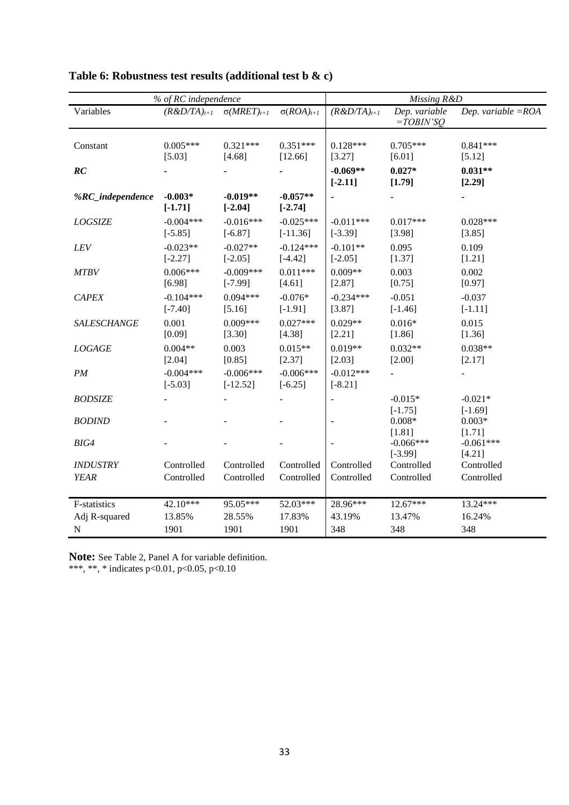|                                | % of RC independence                  | Missing R&D               |                           |                          |                              |                          |
|--------------------------------|---------------------------------------|---------------------------|---------------------------|--------------------------|------------------------------|--------------------------|
| Variables                      | $(R&D/TA)_{t+1}$ $\sigma(MRET)_{t+1}$ |                           | $\sigma(ROA)_{t+1}$       | $(R&D/TA)_{t+1}$         | Dep. variable<br>$=TOBIN'SO$ | Dep. variable $=$ ROA    |
| Constant                       | $0.005***$<br>[5.03]                  | $0.321***$<br>[4.68]      | $0.351***$<br>[12.66]     | $0.128***$<br>[3.27]     | $0.705***$<br>[6.01]         | $0.841***$<br>[5.12]     |
| RC                             |                                       |                           |                           | $-0.069**$<br>$[-2.11]$  | $0.027*$<br>[1.79]           | $0.031**$<br>[2.29]      |
| %RC_independence               | $-0.003*$<br>$[-1.71]$                | $-0.019**$<br>$[-2.04]$   | $-0.057**$<br>$[-2.74]$   |                          |                              |                          |
| <b>LOGSIZE</b>                 | $-0.004***$<br>$[-5.85]$              | $-0.016***$<br>$[-6.87]$  | $-0.025***$<br>$[-11.36]$ | $-0.011***$<br>$[-3.39]$ | $0.017***$<br>[3.98]         | $0.028***$<br>[3.85]     |
| LEV                            | $-0.023**$<br>$[-2.27]$               | $-0.027**$<br>$[-2.05]$   | $-0.124***$<br>$[-4.42]$  | $-0.101**$<br>$[-2.05]$  | 0.095<br>[1.37]              | 0.109<br>[1.21]          |
| <b>MTBV</b>                    | $0.006***$<br>[6.98]                  | $-0.009***$<br>$[-7.99]$  | $0.011***$<br>[4.61]      | $0.009**$<br>[2.87]      | 0.003<br>[0.75]              | 0.002<br>[0.97]          |
| <b>CAPEX</b>                   | $-0.104***$<br>$[-7.40]$              | $0.094***$<br>[5.16]      | $-0.076*$<br>$[-1.91]$    | $-0.234***$<br>[3.87]    | $-0.051$<br>$[-1.46]$        | $-0.037$<br>$[-1.11]$    |
| SALESCHANGE                    | 0.001<br>[0.09]                       | $0.009***$<br>[3.30]      | $0.027***$<br>[4.38]      | $0.029**$<br>[2.21]      | $0.016*$<br>[1.86]           | 0.015<br>[1.36]          |
| LOGAGE                         | $0.004**$<br>[2.04]                   | 0.003<br>[0.85]           | $0.015**$<br>[2.37]       | $0.019**$<br>[2.03]      | $0.032**$<br>[2.00]          | $0.038**$<br>[2.17]      |
| PM                             | $-0.004***$<br>$[-5.03]$              | $-0.006***$<br>$[-12.52]$ | $-0.006***$<br>$[-6.25]$  | $-0.012***$<br>$[-8.21]$ |                              |                          |
| <b>BODSIZE</b>                 |                                       |                           |                           |                          | $-0.015*$<br>$[-1.75]$       | $-0.021*$<br>$[-1.69]$   |
| <b>BODIND</b>                  |                                       |                           |                           |                          | $0.008*$<br>[1.81]           | $0.003*$<br>[1.71]       |
| BIG4                           |                                       |                           |                           |                          | $-0.066***$<br>$[-3.99]$     | $-0.061***$<br>[4.21]    |
| <b>INDUSTRY</b><br><b>YEAR</b> | Controlled<br>Controlled              | Controlled<br>Controlled  | Controlled<br>Controlled  | Controlled<br>Controlled | Controlled<br>Controlled     | Controlled<br>Controlled |
| F-statistics                   | 42.10***                              | 95.05***                  | 52.03***                  | 28.96***                 | 12.67***                     | 13.24***                 |
| Adj R-squared                  | 13.85%                                | 28.55%                    | 17.83%                    | 43.19%                   | 13.47%                       | 16.24%                   |
| $\mathbf N$                    | 1901                                  | 1901                      | 1901                      | 348                      | 348                          | 348                      |

# **Table 6: Robustness test results (additional test b & c)**

**Note:** See Table 2, Panel A for variable definition.

\*\*\*, \*\*, \* indicates p<0.01, p<0.05, p<0.10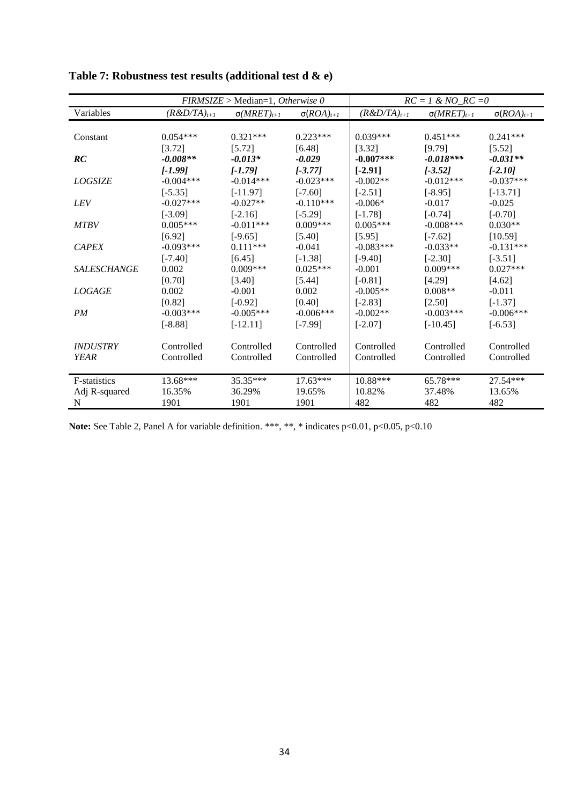|                        | $FIRMSIZE > Median=1, Otherwise 0$ |                      |                      | $RC = 1 \& NO\_RC = 0$ |                      |                      |  |
|------------------------|------------------------------------|----------------------|----------------------|------------------------|----------------------|----------------------|--|
| Variables              | $(R&D/TA)_{t+1}$                   | $\sigma(MRET)_{t+1}$ | $\sigma (ROA)_{t+1}$ | $(R&D/TA)_{t+1}$       | $\sigma(MRET)_{t+1}$ | $\sigma (ROA)_{t+1}$ |  |
|                        |                                    |                      |                      |                        |                      |                      |  |
| Constant               | $0.054***$                         | $0.321***$           | $0.223***$           | $0.039***$             | $0.451***$           | $0.241***$           |  |
|                        | [3.72]                             | [5.72]               | [6.48]               | [3.32]                 | [9.79]               | [5.52]               |  |
| RC                     | $-0.008**$                         | $-0.013*$            | $-0.029$             | $-0.007***$            | $-0.018***$          | $-0.031**$           |  |
|                        | $[-1.99]$                          | $[-1.79]$            | $[-3.77]$            | $[-2.91]$              | $[-3.52]$            | $[-2.10]$            |  |
| <b>LOGSIZE</b>         | $-0.004***$                        | $-0.014***$          | $-0.023***$          | $-0.002**$             | $-0.012***$          | $-0.037***$          |  |
|                        | $[-5.35]$                          | $[-11.97]$           | $[-7.60]$            | $[-2.51]$              | $[-8.95]$            | $[-13.71]$           |  |
| <b>LEV</b>             | $-0.027***$                        | $-0.027**$           | $-0.110***$          | $-0.006*$              | $-0.017$             | $-0.025$             |  |
|                        | $[-3.09]$                          | $[-2.16]$            | $[-5.29]$            | $[-1.78]$              | $[-0.74]$            | $[-0.70]$            |  |
| <b>MTBV</b>            | $0.005***$                         | $-0.011***$          | $0.009***$           | $0.005***$             | $-0.008***$          | $0.030**$            |  |
|                        | [6.92]                             | $[-9.65]$            | [5.40]               | [5.95]                 | $[-7.62]$            | [10.59]              |  |
| <b>CAPEX</b>           | $-0.093***$                        | $0.111***$           | $-0.041$             | $-0.083***$            | $-0.033**$           | $-0.131***$          |  |
|                        | $[-7.40]$                          | [6.45]               | $[-1.38]$            | $[-9.40]$              | $[-2.30]$            | $[-3.51]$            |  |
| <b>SALESCHANGE</b>     | 0.002                              | $0.009***$           | $0.025***$           | $-0.001$               | $0.009***$           | $0.027***$           |  |
|                        | [0.70]                             | [3.40]               | [5.44]               | $[-0.81]$              | [4.29]               | [4.62]               |  |
| <b>LOGAGE</b>          | 0.002                              | $-0.001$             | 0.002                | $-0.005**$             | $0.008**$            | $-0.011$             |  |
|                        | [0.82]                             | $[-0.92]$            | [0.40]               | $[-2.83]$              | [2.50]               | $[-1.37]$            |  |
| PM                     | $-0.003***$                        | $-0.005***$          | $-0.006***$          | $-0.002**$             | $-0.003***$          | $-0.006***$          |  |
|                        | $[-8.88]$                          | $[-12.11]$           | $[-7.99]$            | $[-2.07]$              | $[-10.45]$           | $[-6.53]$            |  |
|                        |                                    |                      |                      |                        |                      |                      |  |
| <i><b>INDUSTRY</b></i> | Controlled                         | Controlled           | Controlled           | Controlled             | Controlled           | Controlled           |  |
| YEAR                   | Controlled                         | Controlled           | Controlled           | Controlled             | Controlled           | Controlled           |  |
| F-statistics           | 13.68***                           | 35.35***             | $17.63***$           | 10.88***               | 65.78***             | 27.54***             |  |
| Adj R-squared          | 16.35%                             | 36.29%               | 19.65%               | 10.82%                 | 37.48%               | 13.65%               |  |
| N                      | 1901                               | 1901                 | 1901                 | 482                    | 482                  | 482                  |  |

**Table 7: Robustness test results (additional test d & e)**

Note: See Table 2, Panel A for variable definition. \*\*\*, \*\*, \* indicates p<0.01, p<0.05, p<0.10